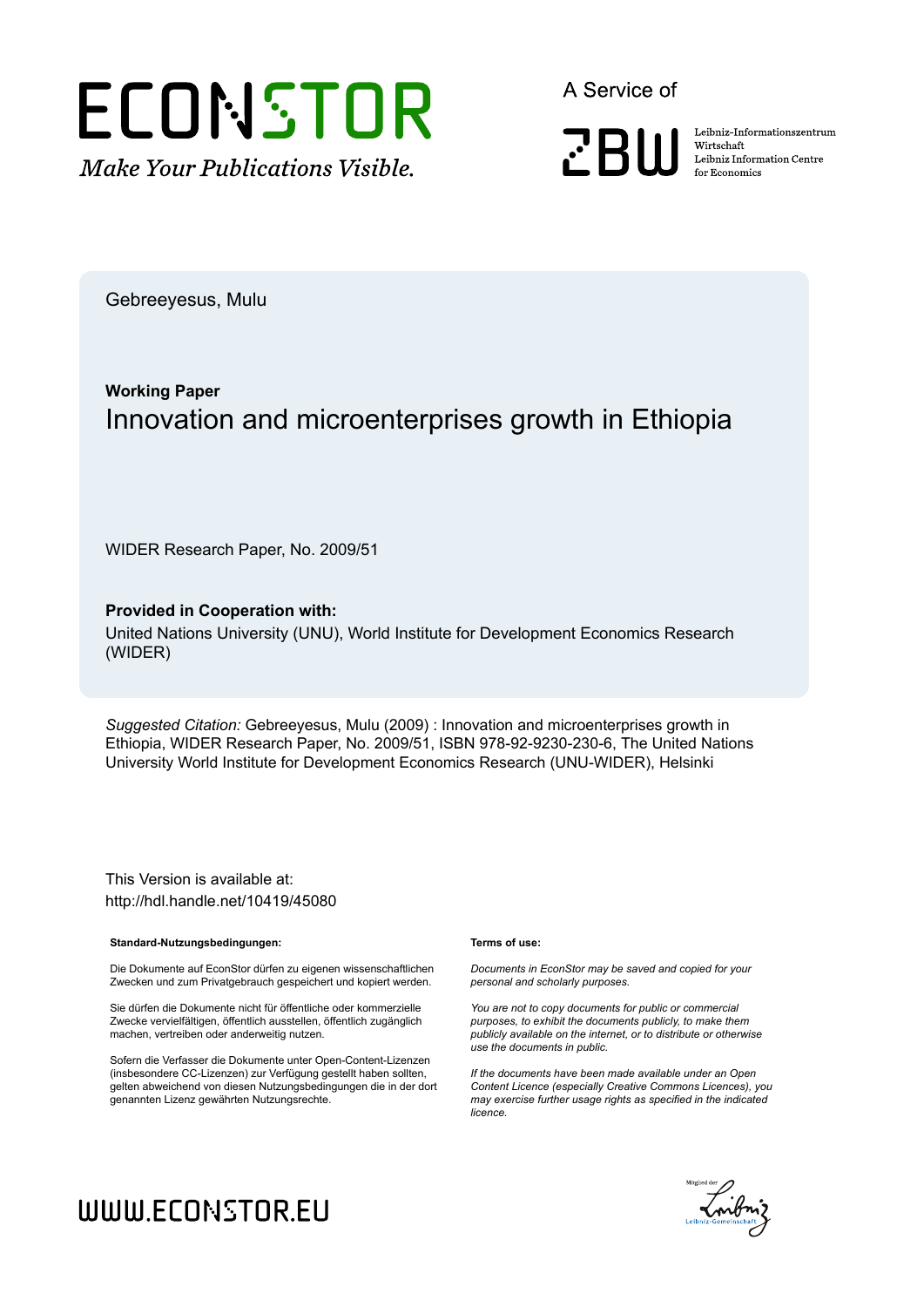

A Service of

**PRIII** 

Leibniz Informationszentrum Wirtschaft Leibniz Information Centre for Economics

Gebreeyesus, Mulu

## **Working Paper** Innovation and microenterprises growth in Ethiopia

WIDER Research Paper, No. 2009/51

#### **Provided in Cooperation with:**

United Nations University (UNU), World Institute for Development Economics Research (WIDER)

*Suggested Citation:* Gebreeyesus, Mulu (2009) : Innovation and microenterprises growth in Ethiopia, WIDER Research Paper, No. 2009/51, ISBN 978-92-9230-230-6, The United Nations University World Institute for Development Economics Research (UNU-WIDER), Helsinki

This Version is available at: http://hdl.handle.net/10419/45080

#### **Standard-Nutzungsbedingungen:**

Die Dokumente auf EconStor dürfen zu eigenen wissenschaftlichen Zwecken und zum Privatgebrauch gespeichert und kopiert werden.

Sie dürfen die Dokumente nicht für öffentliche oder kommerzielle Zwecke vervielfältigen, öffentlich ausstellen, öffentlich zugänglich machen, vertreiben oder anderweitig nutzen.

Sofern die Verfasser die Dokumente unter Open-Content-Lizenzen (insbesondere CC-Lizenzen) zur Verfügung gestellt haben sollten, gelten abweichend von diesen Nutzungsbedingungen die in der dort genannten Lizenz gewährten Nutzungsrechte.

#### **Terms of use:**

*Documents in EconStor may be saved and copied for your personal and scholarly purposes.*

*You are not to copy documents for public or commercial purposes, to exhibit the documents publicly, to make them publicly available on the internet, or to distribute or otherwise use the documents in public.*

*If the documents have been made available under an Open Content Licence (especially Creative Commons Licences), you may exercise further usage rights as specified in the indicated licence.*



# WWW.ECONSTOR.EU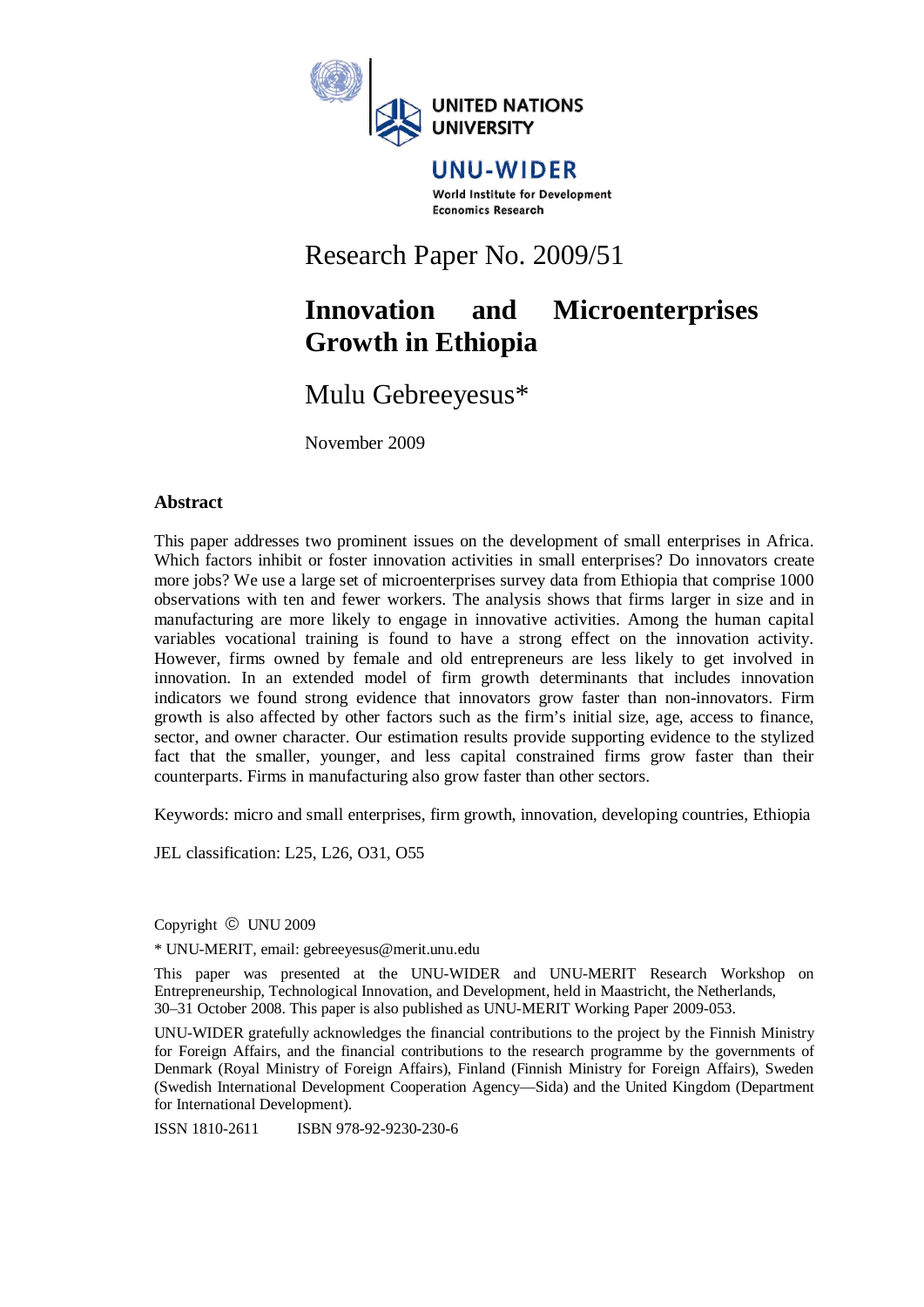

#### UNU-WIDER World Institute for Development **Economics Research**

## Research Paper No. 2009/51

## **Innovation and Microenterprises Growth in Ethiopia**

## Mulu Gebreeyesus\*

November 2009

#### **Abstract**

This paper addresses two prominent issues on the development of small enterprises in Africa. Which factors inhibit or foster innovation activities in small enterprises? Do innovators create more jobs? We use a large set of microenterprises survey data from Ethiopia that comprise 1000 observations with ten and fewer workers. The analysis shows that firms larger in size and in manufacturing are more likely to engage in innovative activities. Among the human capital variables vocational training is found to have a strong effect on the innovation activity. However, firms owned by female and old entrepreneurs are less likely to get involved in innovation. In an extended model of firm growth determinants that includes innovation indicators we found strong evidence that innovators grow faster than non-innovators. Firm growth is also affected by other factors such as the firm's initial size, age, access to finance, sector, and owner character. Our estimation results provide supporting evidence to the stylized fact that the smaller, younger, and less capital constrained firms grow faster than their counterparts. Firms in manufacturing also grow faster than other sectors.

Keywords: micro and small enterprises, firm growth, innovation, developing countries, Ethiopia

JEL classification: L25, L26, O31, O55

Copyright © UNU 2009

\* UNU-MERIT, email: gebreeyesus@merit.unu.edu

This paper was presented at the UNU-WIDER and UNU-MERIT Research Workshop on Entrepreneurship, Technological Innovation, and Development, held in Maastricht, the Netherlands, 30–31 October 2008. This paper is also published as UNU-MERIT Working Paper 2009-053.

UNU-WIDER gratefully acknowledges the financial contributions to the project by the Finnish Ministry for Foreign Affairs, and the financial contributions to the research programme by the governments of Denmark (Royal Ministry of Foreign Affairs), Finland (Finnish Ministry for Foreign Affairs), Sweden (Swedish International Development Cooperation Agency—Sida) and the United Kingdom (Department for International Development).

ISSN 1810-2611 ISBN 978-92-9230-230-6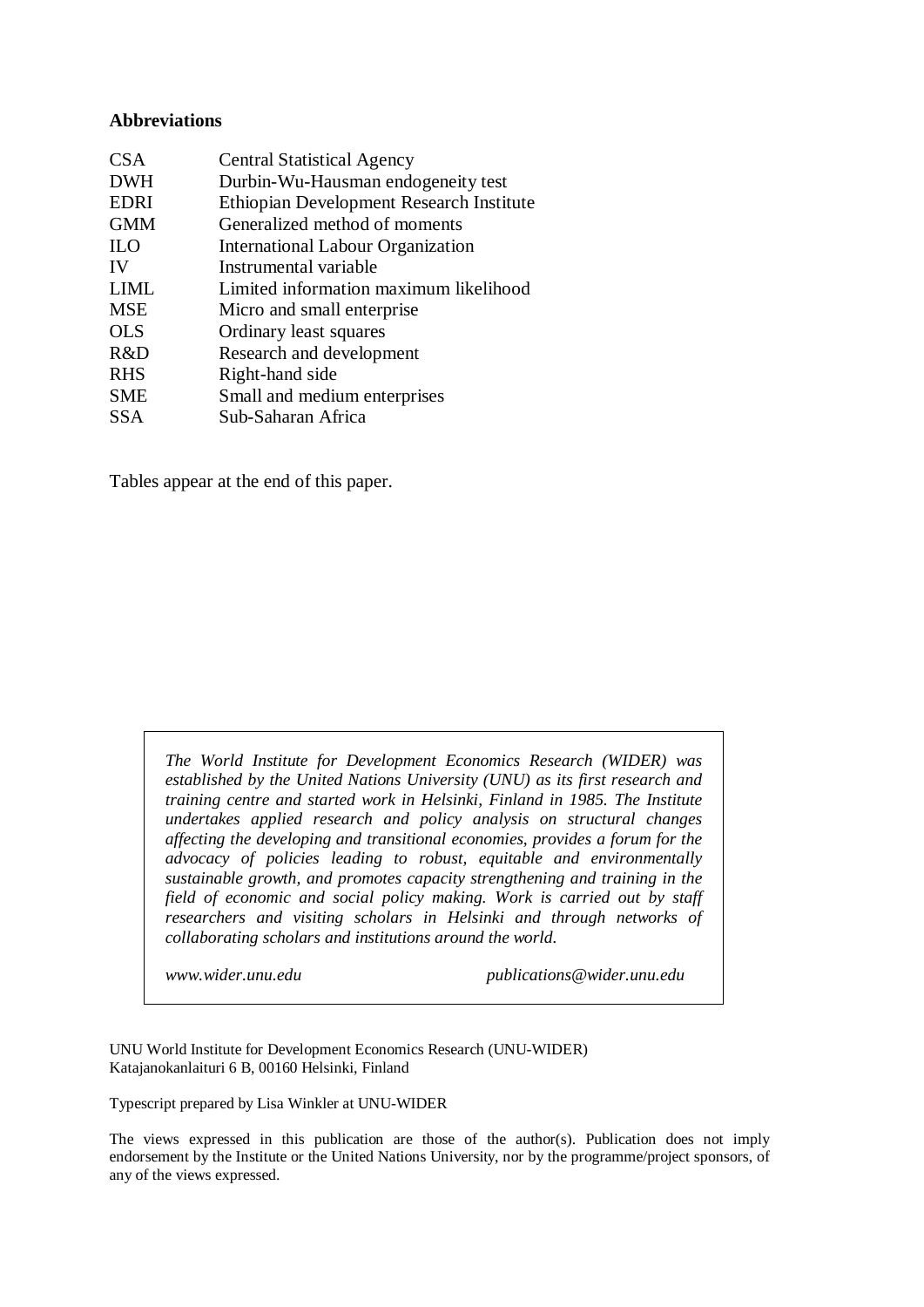#### **Abbreviations**

| <b>Central Statistical Agency</b>        |
|------------------------------------------|
| Durbin-Wu-Hausman endogeneity test       |
| Ethiopian Development Research Institute |
| Generalized method of moments            |
| International Labour Organization        |
| Instrumental variable                    |
| Limited information maximum likelihood   |
| Micro and small enterprise               |
| Ordinary least squares                   |
| Research and development                 |
| Right-hand side                          |
| Small and medium enterprises             |
| Sub-Saharan Africa                       |
|                                          |

Tables appear at the end of this paper.

*The World Institute for Development Economics Research (WIDER) was established by the United Nations University (UNU) as its first research and training centre and started work in Helsinki, Finland in 1985. The Institute undertakes applied research and policy analysis on structural changes affecting the developing and transitional economies, provides a forum for the advocacy of policies leading to robust, equitable and environmentally sustainable growth, and promotes capacity strengthening and training in the field of economic and social policy making. Work is carried out by staff researchers and visiting scholars in Helsinki and through networks of collaborating scholars and institutions around the world.* 

*www.wider.unu.edu publications@wider.unu.edu* 

UNU World Institute for Development Economics Research (UNU-WIDER) Katajanokanlaituri 6 B, 00160 Helsinki, Finland

Typescript prepared by Lisa Winkler at UNU-WIDER

The views expressed in this publication are those of the author(s). Publication does not imply endorsement by the Institute or the United Nations University, nor by the programme/project sponsors, of any of the views expressed.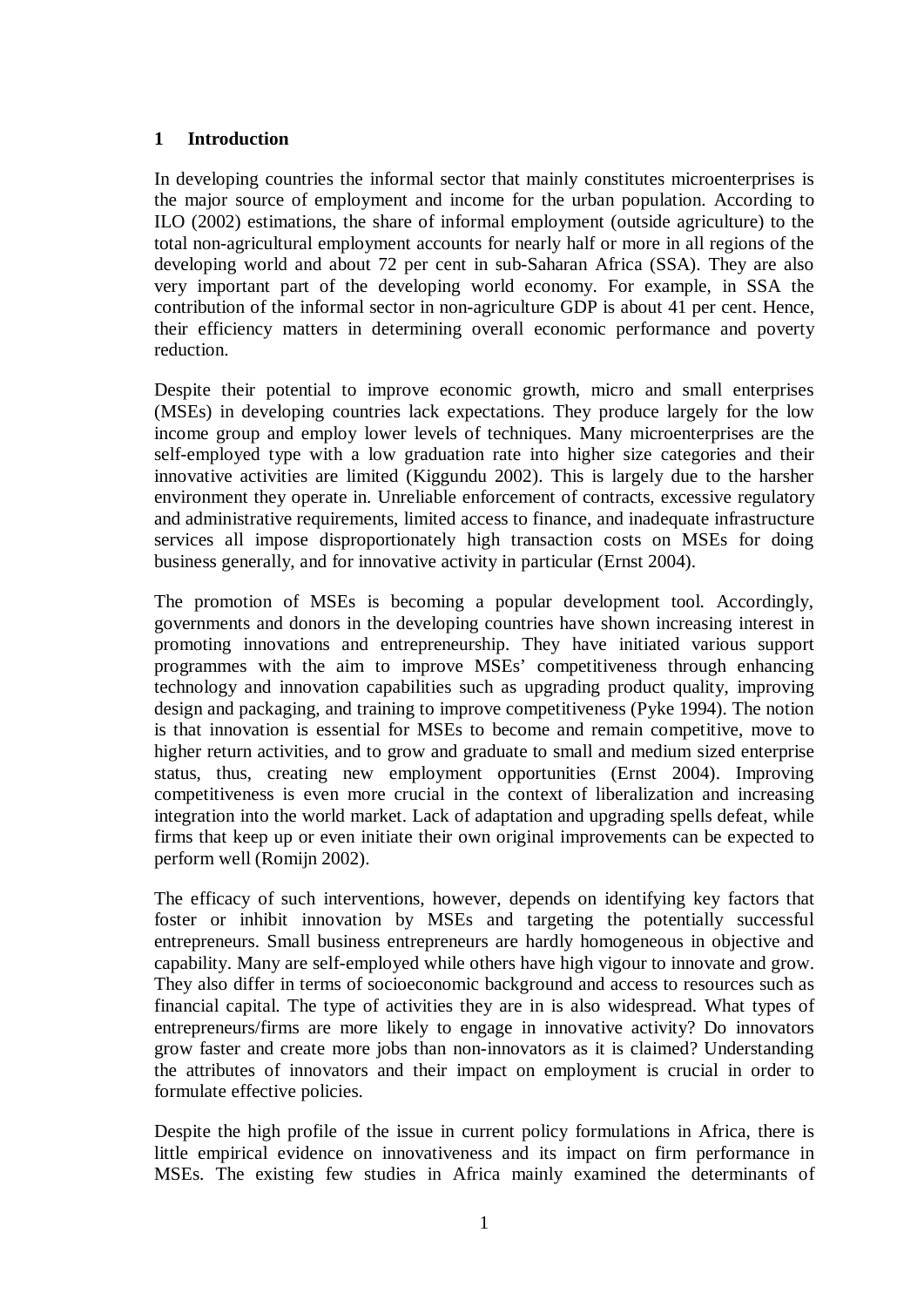#### **1 Introduction**

In developing countries the informal sector that mainly constitutes microenterprises is the major source of employment and income for the urban population. According to ILO (2002) estimations, the share of informal employment (outside agriculture) to the total non-agricultural employment accounts for nearly half or more in all regions of the developing world and about 72 per cent in sub-Saharan Africa (SSA). They are also very important part of the developing world economy. For example, in SSA the contribution of the informal sector in non-agriculture GDP is about 41 per cent. Hence, their efficiency matters in determining overall economic performance and poverty reduction.

Despite their potential to improve economic growth, micro and small enterprises (MSEs) in developing countries lack expectations. They produce largely for the low income group and employ lower levels of techniques. Many microenterprises are the self-employed type with a low graduation rate into higher size categories and their innovative activities are limited (Kiggundu 2002). This is largely due to the harsher environment they operate in. Unreliable enforcement of contracts, excessive regulatory and administrative requirements, limited access to finance, and inadequate infrastructure services all impose disproportionately high transaction costs on MSEs for doing business generally, and for innovative activity in particular (Ernst 2004).

The promotion of MSEs is becoming a popular development tool. Accordingly, governments and donors in the developing countries have shown increasing interest in promoting innovations and entrepreneurship. They have initiated various support programmes with the aim to improve MSEs' competitiveness through enhancing technology and innovation capabilities such as upgrading product quality, improving design and packaging, and training to improve competitiveness (Pyke 1994). The notion is that innovation is essential for MSEs to become and remain competitive, move to higher return activities, and to grow and graduate to small and medium sized enterprise status, thus, creating new employment opportunities (Ernst 2004). Improving competitiveness is even more crucial in the context of liberalization and increasing integration into the world market. Lack of adaptation and upgrading spells defeat, while firms that keep up or even initiate their own original improvements can be expected to perform well (Romijn 2002).

The efficacy of such interventions, however, depends on identifying key factors that foster or inhibit innovation by MSEs and targeting the potentially successful entrepreneurs. Small business entrepreneurs are hardly homogeneous in objective and capability. Many are self-employed while others have high vigour to innovate and grow. They also differ in terms of socioeconomic background and access to resources such as financial capital. The type of activities they are in is also widespread. What types of entrepreneurs/firms are more likely to engage in innovative activity? Do innovators grow faster and create more jobs than non-innovators as it is claimed? Understanding the attributes of innovators and their impact on employment is crucial in order to formulate effective policies.

Despite the high profile of the issue in current policy formulations in Africa, there is little empirical evidence on innovativeness and its impact on firm performance in MSEs. The existing few studies in Africa mainly examined the determinants of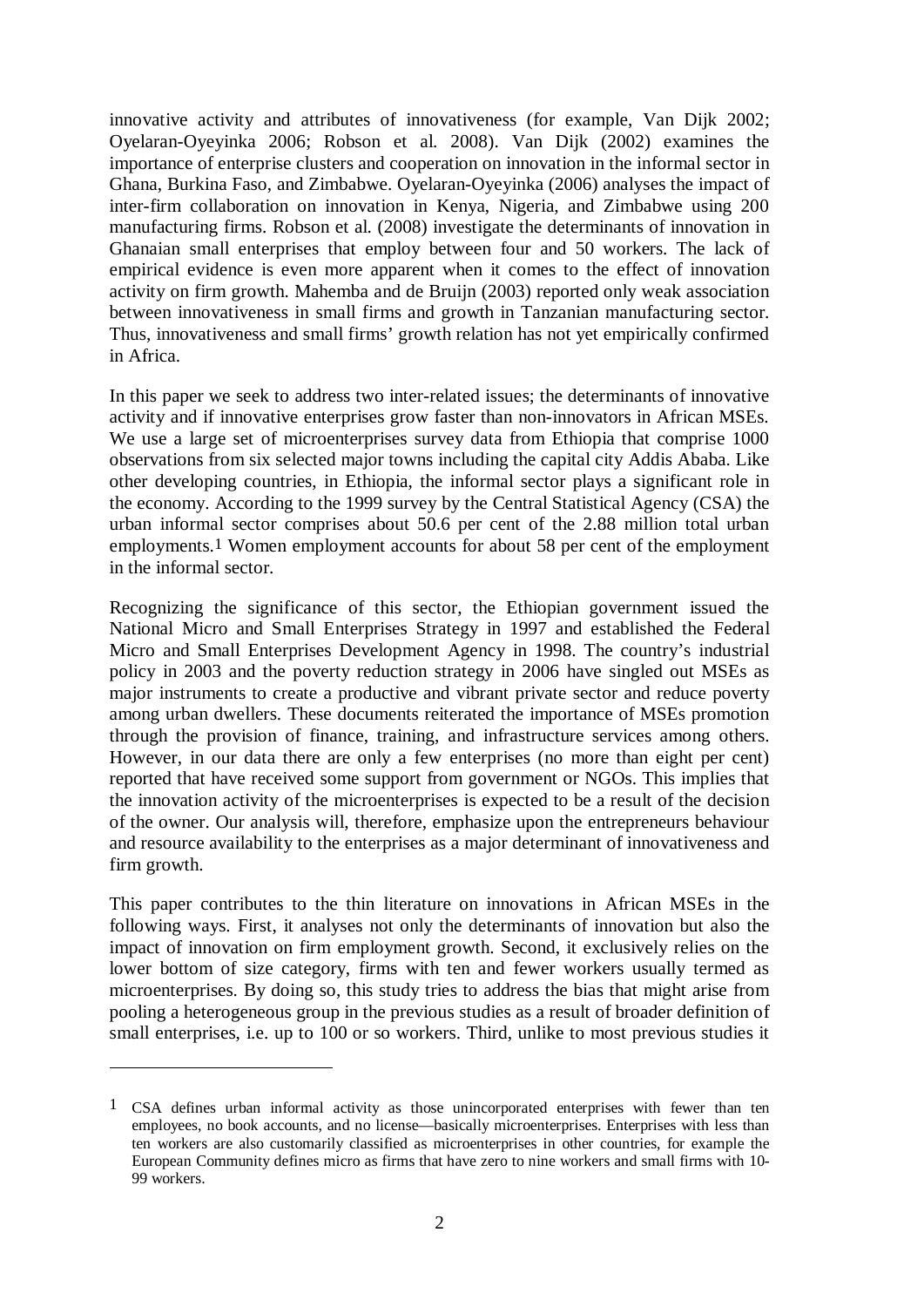innovative activity and attributes of innovativeness (for example, Van Dijk 2002; Oyelaran-Oyeyinka 2006; Robson et al. 2008). Van Dijk (2002) examines the importance of enterprise clusters and cooperation on innovation in the informal sector in Ghana, Burkina Faso, and Zimbabwe. Oyelaran-Oyeyinka (2006) analyses the impact of inter-firm collaboration on innovation in Kenya, Nigeria, and Zimbabwe using 200 manufacturing firms. Robson et al. (2008) investigate the determinants of innovation in Ghanaian small enterprises that employ between four and 50 workers. The lack of empirical evidence is even more apparent when it comes to the effect of innovation activity on firm growth. Mahemba and de Bruijn (2003) reported only weak association between innovativeness in small firms and growth in Tanzanian manufacturing sector. Thus, innovativeness and small firms' growth relation has not yet empirically confirmed in Africa.

In this paper we seek to address two inter-related issues; the determinants of innovative activity and if innovative enterprises grow faster than non-innovators in African MSEs. We use a large set of microenterprises survey data from Ethiopia that comprise 1000 observations from six selected major towns including the capital city Addis Ababa. Like other developing countries, in Ethiopia, the informal sector plays a significant role in the economy. According to the 1999 survey by the Central Statistical Agency (CSA) the urban informal sector comprises about 50.6 per cent of the 2.88 million total urban employments.1 Women employment accounts for about 58 per cent of the employment in the informal sector.

Recognizing the significance of this sector, the Ethiopian government issued the National Micro and Small Enterprises Strategy in 1997 and established the Federal Micro and Small Enterprises Development Agency in 1998. The country's industrial policy in 2003 and the poverty reduction strategy in 2006 have singled out MSEs as major instruments to create a productive and vibrant private sector and reduce poverty among urban dwellers. These documents reiterated the importance of MSEs promotion through the provision of finance, training, and infrastructure services among others. However, in our data there are only a few enterprises (no more than eight per cent) reported that have received some support from government or NGOs. This implies that the innovation activity of the microenterprises is expected to be a result of the decision of the owner. Our analysis will, therefore, emphasize upon the entrepreneurs behaviour and resource availability to the enterprises as a major determinant of innovativeness and firm growth.

This paper contributes to the thin literature on innovations in African MSEs in the following ways. First, it analyses not only the determinants of innovation but also the impact of innovation on firm employment growth. Second, it exclusively relies on the lower bottom of size category, firms with ten and fewer workers usually termed as microenterprises. By doing so, this study tries to address the bias that might arise from pooling a heterogeneous group in the previous studies as a result of broader definition of small enterprises, i.e. up to 100 or so workers. Third, unlike to most previous studies it

 $\overline{a}$ 

<sup>1</sup> CSA defines urban informal activity as those unincorporated enterprises with fewer than ten employees, no book accounts, and no license—basically microenterprises. Enterprises with less than ten workers are also customarily classified as microenterprises in other countries, for example the European Community defines micro as firms that have zero to nine workers and small firms with 10- 99 workers.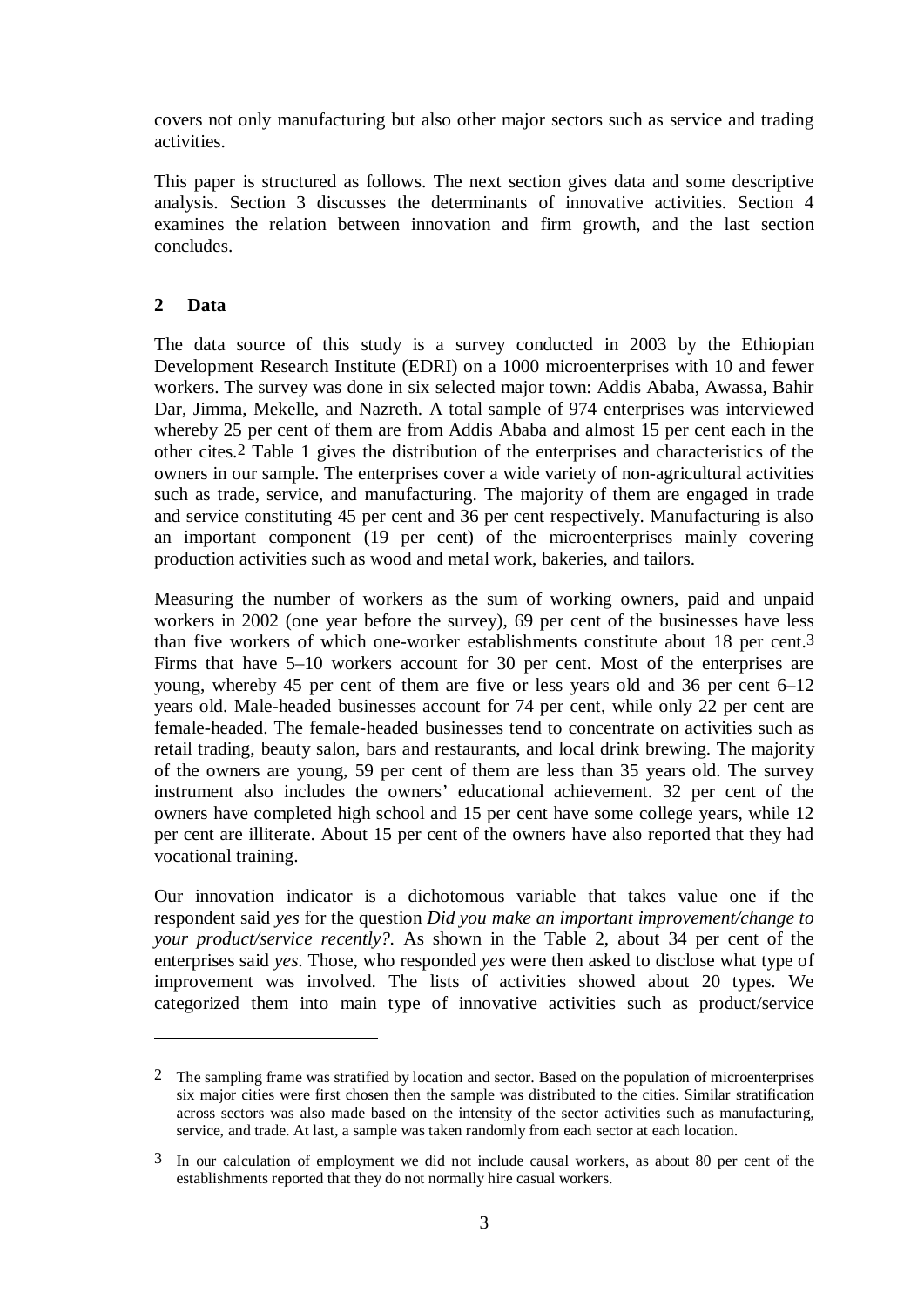covers not only manufacturing but also other major sectors such as service and trading activities.

This paper is structured as follows. The next section gives data and some descriptive analysis. Section 3 discusses the determinants of innovative activities. Section 4 examines the relation between innovation and firm growth, and the last section concludes.

### **2 Data**

1

The data source of this study is a survey conducted in 2003 by the Ethiopian Development Research Institute (EDRI) on a 1000 microenterprises with 10 and fewer workers. The survey was done in six selected major town: Addis Ababa, Awassa, Bahir Dar, Jimma, Mekelle, and Nazreth. A total sample of 974 enterprises was interviewed whereby 25 per cent of them are from Addis Ababa and almost 15 per cent each in the other cites.2 Table 1 gives the distribution of the enterprises and characteristics of the owners in our sample. The enterprises cover a wide variety of non-agricultural activities such as trade, service, and manufacturing. The majority of them are engaged in trade and service constituting 45 per cent and 36 per cent respectively. Manufacturing is also an important component (19 per cent) of the microenterprises mainly covering production activities such as wood and metal work, bakeries, and tailors.

Measuring the number of workers as the sum of working owners, paid and unpaid workers in 2002 (one year before the survey), 69 per cent of the businesses have less than five workers of which one-worker establishments constitute about 18 per cent.3 Firms that have 5–10 workers account for 30 per cent. Most of the enterprises are young, whereby 45 per cent of them are five or less years old and 36 per cent 6–12 years old. Male-headed businesses account for 74 per cent, while only 22 per cent are female-headed. The female-headed businesses tend to concentrate on activities such as retail trading, beauty salon, bars and restaurants, and local drink brewing. The majority of the owners are young, 59 per cent of them are less than 35 years old. The survey instrument also includes the owners' educational achievement. 32 per cent of the owners have completed high school and 15 per cent have some college years, while 12 per cent are illiterate. About 15 per cent of the owners have also reported that they had vocational training.

Our innovation indicator is a dichotomous variable that takes value one if the respondent said *yes* for the question *Did you make an important improvement/change to your product/service recently?.* As shown in the Table 2, about 34 per cent of the enterprises said *yes*. Those, who responded *yes* were then asked to disclose what type of improvement was involved. The lists of activities showed about 20 types. We categorized them into main type of innovative activities such as product/service

<sup>2</sup> The sampling frame was stratified by location and sector. Based on the population of microenterprises six major cities were first chosen then the sample was distributed to the cities. Similar stratification across sectors was also made based on the intensity of the sector activities such as manufacturing, service, and trade. At last, a sample was taken randomly from each sector at each location.

<sup>3</sup> In our calculation of employment we did not include causal workers, as about 80 per cent of the establishments reported that they do not normally hire casual workers.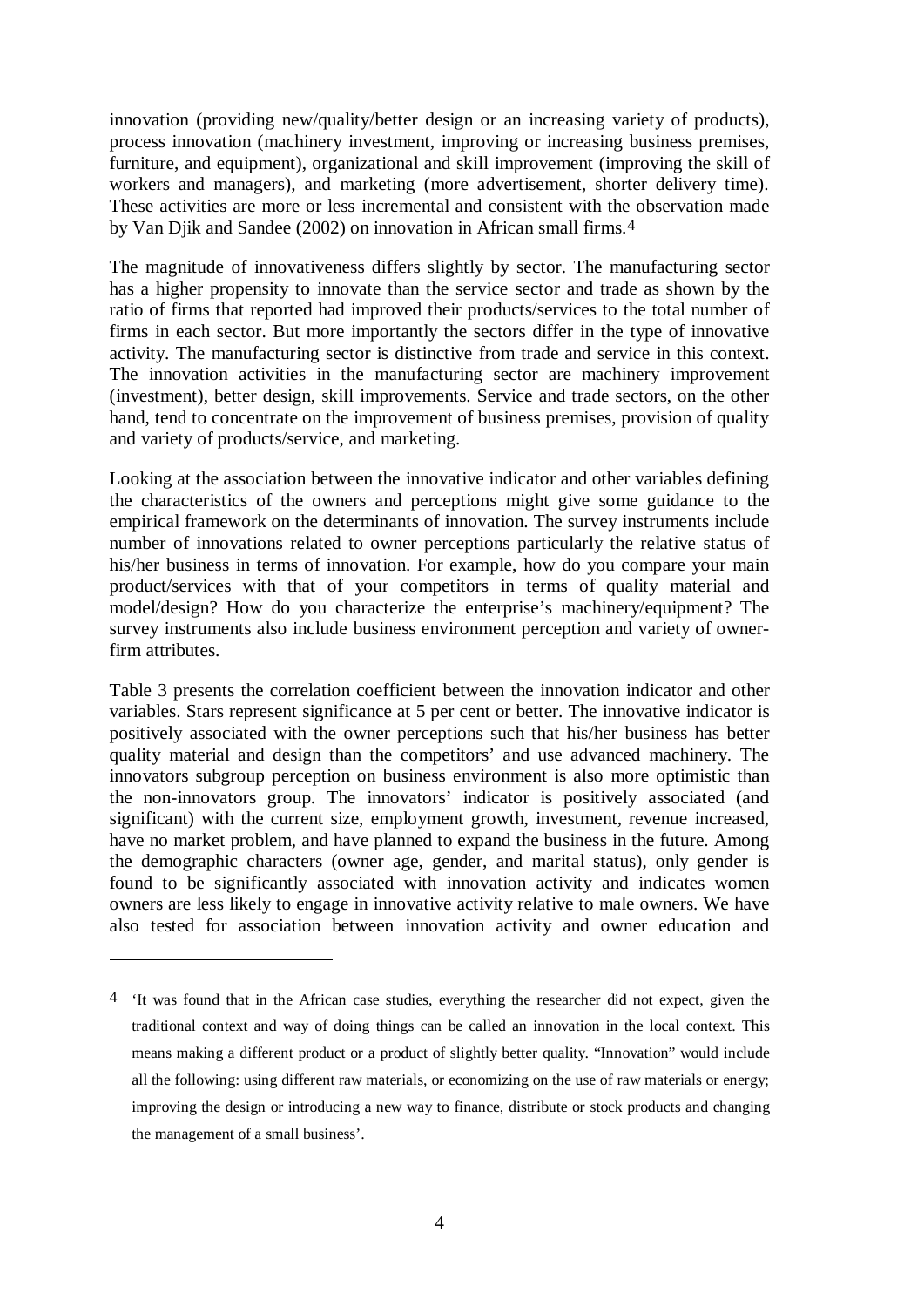innovation (providing new/quality/better design or an increasing variety of products), process innovation (machinery investment, improving or increasing business premises, furniture, and equipment), organizational and skill improvement (improving the skill of workers and managers), and marketing (more advertisement, shorter delivery time). These activities are more or less incremental and consistent with the observation made by Van Djik and Sandee (2002) on innovation in African small firms.4

The magnitude of innovativeness differs slightly by sector. The manufacturing sector has a higher propensity to innovate than the service sector and trade as shown by the ratio of firms that reported had improved their products/services to the total number of firms in each sector. But more importantly the sectors differ in the type of innovative activity. The manufacturing sector is distinctive from trade and service in this context. The innovation activities in the manufacturing sector are machinery improvement (investment), better design, skill improvements. Service and trade sectors, on the other hand, tend to concentrate on the improvement of business premises, provision of quality and variety of products/service, and marketing.

Looking at the association between the innovative indicator and other variables defining the characteristics of the owners and perceptions might give some guidance to the empirical framework on the determinants of innovation. The survey instruments include number of innovations related to owner perceptions particularly the relative status of his/her business in terms of innovation. For example, how do you compare your main product/services with that of your competitors in terms of quality material and model/design? How do you characterize the enterprise's machinery/equipment? The survey instruments also include business environment perception and variety of ownerfirm attributes.

Table 3 presents the correlation coefficient between the innovation indicator and other variables. Stars represent significance at 5 per cent or better. The innovative indicator is positively associated with the owner perceptions such that his/her business has better quality material and design than the competitors' and use advanced machinery. The innovators subgroup perception on business environment is also more optimistic than the non-innovators group. The innovators' indicator is positively associated (and significant) with the current size, employment growth, investment, revenue increased, have no market problem, and have planned to expand the business in the future. Among the demographic characters (owner age, gender, and marital status), only gender is found to be significantly associated with innovation activity and indicates women owners are less likely to engage in innovative activity relative to male owners. We have also tested for association between innovation activity and owner education and

 $\overline{a}$ 

<sup>4</sup> 'It was found that in the African case studies, everything the researcher did not expect, given the traditional context and way of doing things can be called an innovation in the local context. This means making a different product or a product of slightly better quality. "Innovation" would include all the following: using different raw materials, or economizing on the use of raw materials or energy; improving the design or introducing a new way to finance, distribute or stock products and changing the management of a small business'.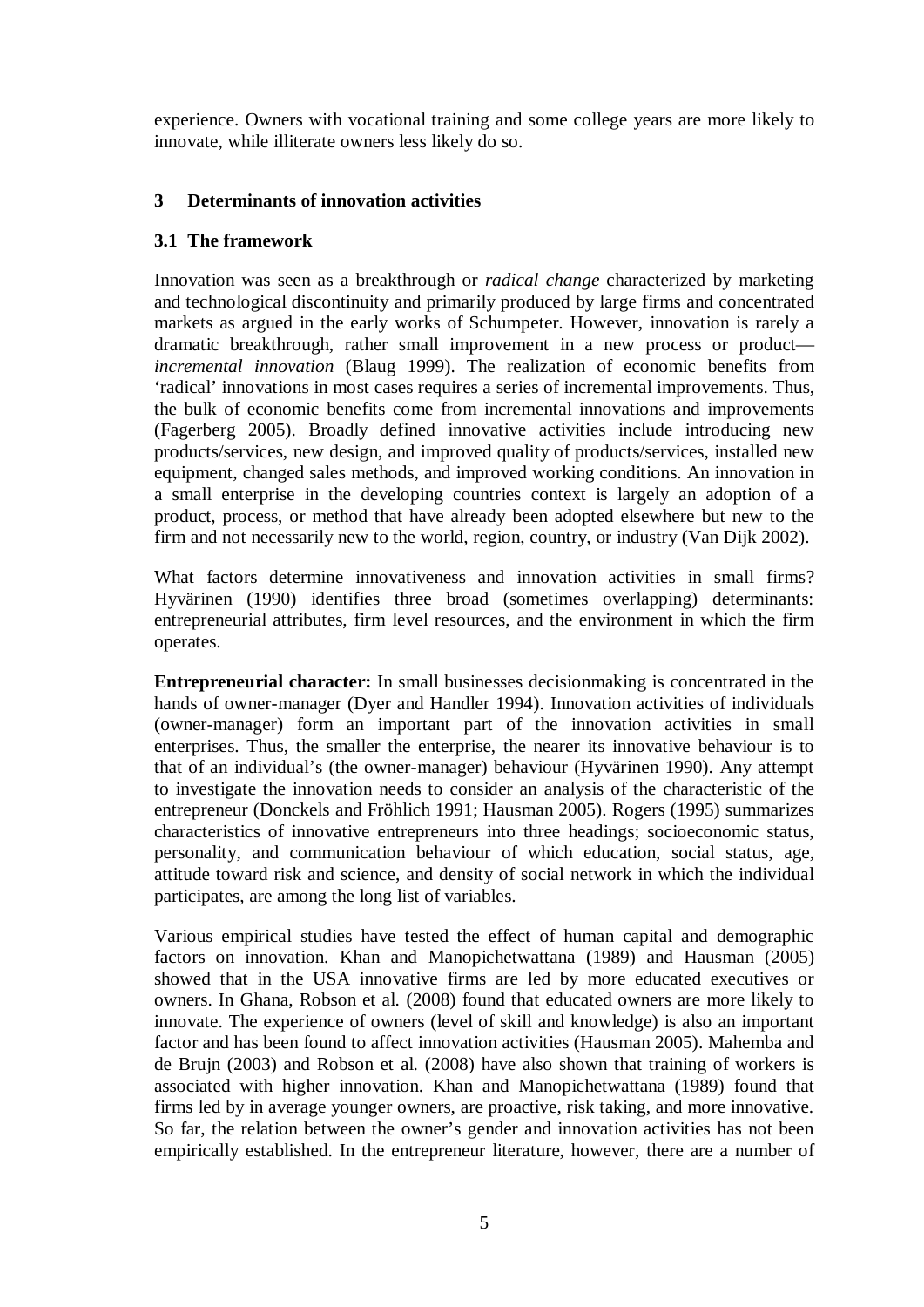experience. Owners with vocational training and some college years are more likely to innovate, while illiterate owners less likely do so.

### **3 Determinants of innovation activities**

#### **3.1 The framework**

Innovation was seen as a breakthrough or *radical change* characterized by marketing and technological discontinuity and primarily produced by large firms and concentrated markets as argued in the early works of Schumpeter. However, innovation is rarely a dramatic breakthrough, rather small improvement in a new process or product *incremental innovation* (Blaug 1999). The realization of economic benefits from 'radical' innovations in most cases requires a series of incremental improvements. Thus, the bulk of economic benefits come from incremental innovations and improvements (Fagerberg 2005). Broadly defined innovative activities include introducing new products/services, new design, and improved quality of products/services, installed new equipment, changed sales methods, and improved working conditions. An innovation in a small enterprise in the developing countries context is largely an adoption of a product, process, or method that have already been adopted elsewhere but new to the firm and not necessarily new to the world, region, country, or industry (Van Dijk 2002).

What factors determine innovativeness and innovation activities in small firms? Hyvärinen (1990) identifies three broad (sometimes overlapping) determinants: entrepreneurial attributes, firm level resources, and the environment in which the firm operates.

**Entrepreneurial character:** In small businesses decisionmaking is concentrated in the hands of owner-manager (Dyer and Handler 1994). Innovation activities of individuals (owner-manager) form an important part of the innovation activities in small enterprises. Thus, the smaller the enterprise, the nearer its innovative behaviour is to that of an individual's (the owner-manager) behaviour (Hyvärinen 1990). Any attempt to investigate the innovation needs to consider an analysis of the characteristic of the entrepreneur (Donckels and Fröhlich 1991; Hausman 2005). Rogers (1995) summarizes characteristics of innovative entrepreneurs into three headings; socioeconomic status, personality, and communication behaviour of which education, social status, age, attitude toward risk and science, and density of social network in which the individual participates, are among the long list of variables.

Various empirical studies have tested the effect of human capital and demographic factors on innovation. Khan and Manopichetwattana (1989) and Hausman (2005) showed that in the USA innovative firms are led by more educated executives or owners. In Ghana, Robson et al. (2008) found that educated owners are more likely to innovate. The experience of owners (level of skill and knowledge) is also an important factor and has been found to affect innovation activities (Hausman 2005). Mahemba and de Brujn (2003) and Robson et al. (2008) have also shown that training of workers is associated with higher innovation. Khan and Manopichetwattana (1989) found that firms led by in average younger owners, are proactive, risk taking, and more innovative. So far, the relation between the owner's gender and innovation activities has not been empirically established. In the entrepreneur literature, however, there are a number of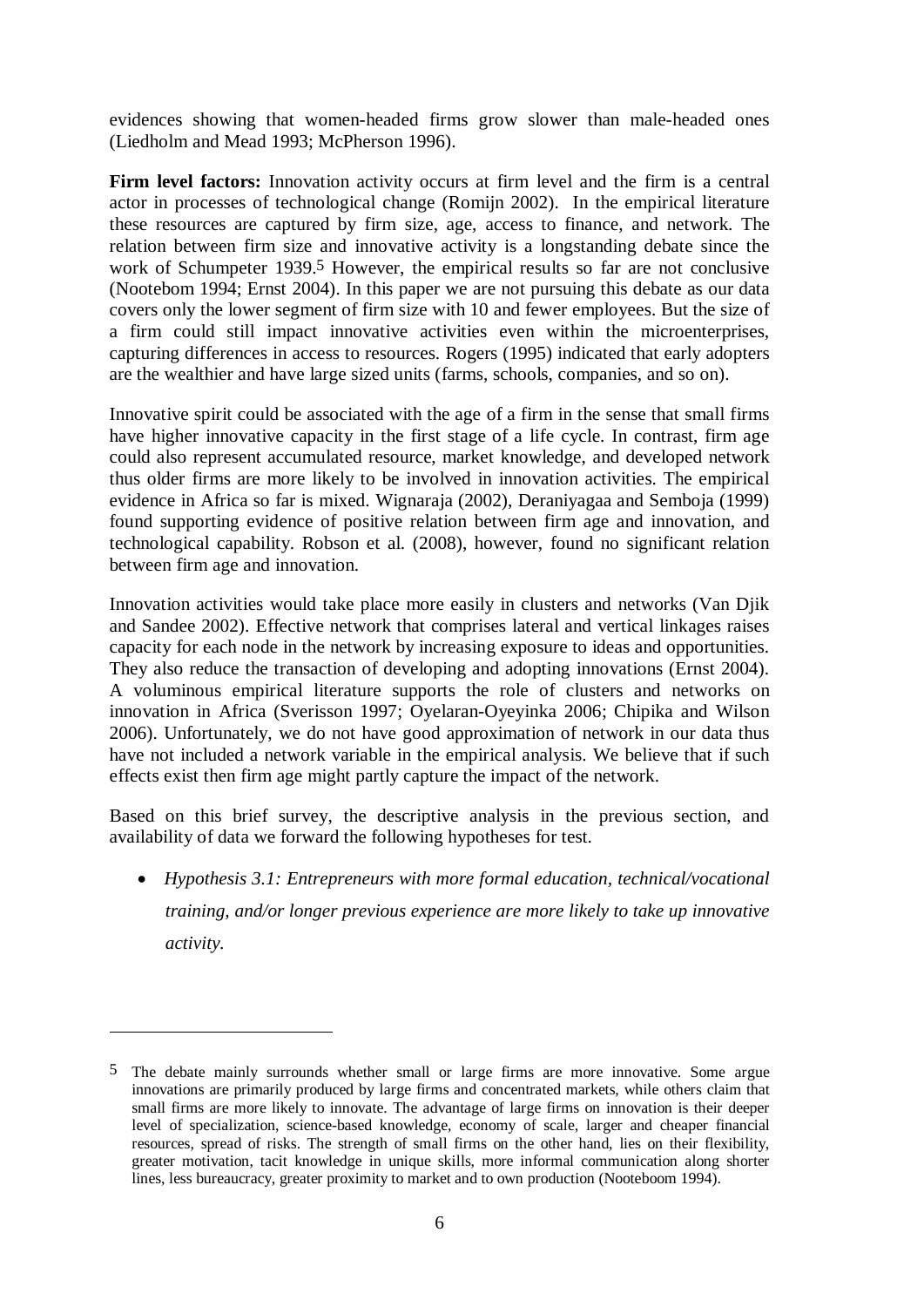evidences showing that women-headed firms grow slower than male-headed ones (Liedholm and Mead 1993; McPherson 1996).

**Firm level factors:** Innovation activity occurs at firm level and the firm is a central actor in processes of technological change (Romijn 2002). In the empirical literature these resources are captured by firm size, age, access to finance, and network. The relation between firm size and innovative activity is a longstanding debate since the work of Schumpeter 1939.<sup>5</sup> However, the empirical results so far are not conclusive (Nootebom 1994; Ernst 2004). In this paper we are not pursuing this debate as our data covers only the lower segment of firm size with 10 and fewer employees. But the size of a firm could still impact innovative activities even within the microenterprises, capturing differences in access to resources. Rogers (1995) indicated that early adopters are the wealthier and have large sized units (farms, schools, companies, and so on).

Innovative spirit could be associated with the age of a firm in the sense that small firms have higher innovative capacity in the first stage of a life cycle. In contrast, firm age could also represent accumulated resource, market knowledge, and developed network thus older firms are more likely to be involved in innovation activities. The empirical evidence in Africa so far is mixed. Wignaraja (2002), Deraniyagaa and Semboja (1999) found supporting evidence of positive relation between firm age and innovation, and technological capability. Robson et al. (2008), however, found no significant relation between firm age and innovation.

Innovation activities would take place more easily in clusters and networks (Van Djik and Sandee 2002). Effective network that comprises lateral and vertical linkages raises capacity for each node in the network by increasing exposure to ideas and opportunities. They also reduce the transaction of developing and adopting innovations (Ernst 2004). A voluminous empirical literature supports the role of clusters and networks on innovation in Africa (Sverisson 1997; Oyelaran-Oyeyinka 2006; Chipika and Wilson 2006). Unfortunately, we do not have good approximation of network in our data thus have not included a network variable in the empirical analysis. We believe that if such effects exist then firm age might partly capture the impact of the network.

Based on this brief survey, the descriptive analysis in the previous section, and availability of data we forward the following hypotheses for test.

• *Hypothesis 3.1: Entrepreneurs with more formal education, technical/vocational training, and/or longer previous experience are more likely to take up innovative activity.* 

 $\overline{a}$ 

<sup>5</sup> The debate mainly surrounds whether small or large firms are more innovative. Some argue innovations are primarily produced by large firms and concentrated markets, while others claim that small firms are more likely to innovate. The advantage of large firms on innovation is their deeper level of specialization, science-based knowledge, economy of scale, larger and cheaper financial resources, spread of risks. The strength of small firms on the other hand, lies on their flexibility, greater motivation, tacit knowledge in unique skills, more informal communication along shorter lines, less bureaucracy, greater proximity to market and to own production (Nooteboom 1994).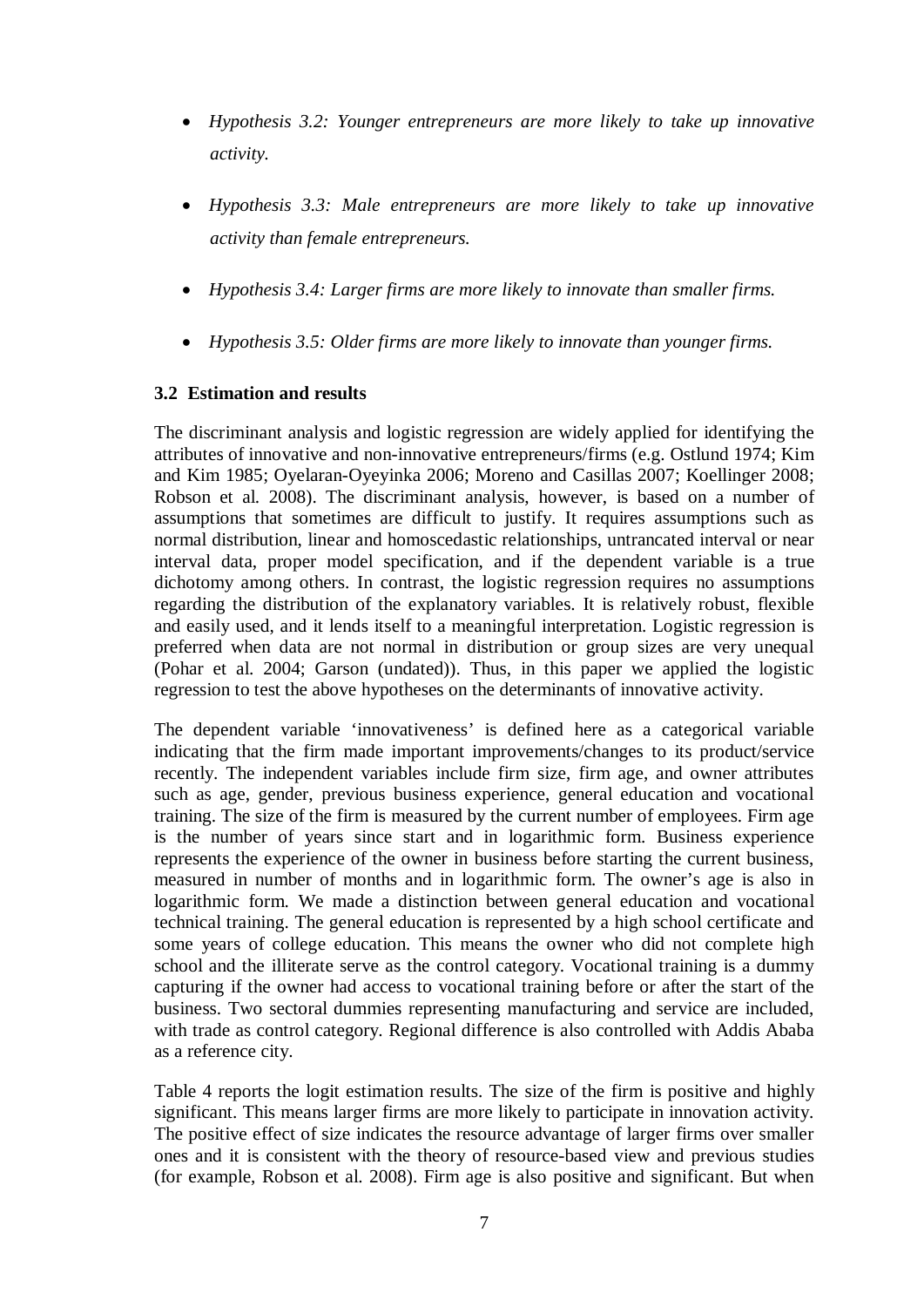- *Hypothesis 3.2: Younger entrepreneurs are more likely to take up innovative activity.*
- *Hypothesis 3.3: Male entrepreneurs are more likely to take up innovative activity than female entrepreneurs.*
- *Hypothesis 3.4: Larger firms are more likely to innovate than smaller firms.*
- *Hypothesis 3.5: Older firms are more likely to innovate than younger firms.*

#### **3.2 Estimation and results**

The discriminant analysis and logistic regression are widely applied for identifying the attributes of innovative and non-innovative entrepreneurs/firms (e.g. Ostlund 1974; Kim and Kim 1985; Oyelaran-Oyeyinka 2006; Moreno and Casillas 2007; Koellinger 2008; Robson et al. 2008). The discriminant analysis, however, is based on a number of assumptions that sometimes are difficult to justify. It requires assumptions such as normal distribution, linear and homoscedastic relationships, untrancated interval or near interval data, proper model specification, and if the dependent variable is a true dichotomy among others. In contrast, the logistic regression requires no assumptions regarding the distribution of the explanatory variables. It is relatively robust, flexible and easily used, and it lends itself to a meaningful interpretation. Logistic regression is preferred when data are not normal in distribution or group sizes are very unequal (Pohar et al. 2004; Garson (undated)). Thus, in this paper we applied the logistic regression to test the above hypotheses on the determinants of innovative activity.

The dependent variable 'innovativeness' is defined here as a categorical variable indicating that the firm made important improvements/changes to its product/service recently. The independent variables include firm size, firm age, and owner attributes such as age, gender, previous business experience, general education and vocational training. The size of the firm is measured by the current number of employees. Firm age is the number of years since start and in logarithmic form. Business experience represents the experience of the owner in business before starting the current business, measured in number of months and in logarithmic form. The owner's age is also in logarithmic form. We made a distinction between general education and vocational technical training. The general education is represented by a high school certificate and some years of college education. This means the owner who did not complete high school and the illiterate serve as the control category. Vocational training is a dummy capturing if the owner had access to vocational training before or after the start of the business. Two sectoral dummies representing manufacturing and service are included, with trade as control category. Regional difference is also controlled with Addis Ababa as a reference city.

Table 4 reports the logit estimation results. The size of the firm is positive and highly significant. This means larger firms are more likely to participate in innovation activity. The positive effect of size indicates the resource advantage of larger firms over smaller ones and it is consistent with the theory of resource-based view and previous studies (for example, Robson et al. 2008). Firm age is also positive and significant. But when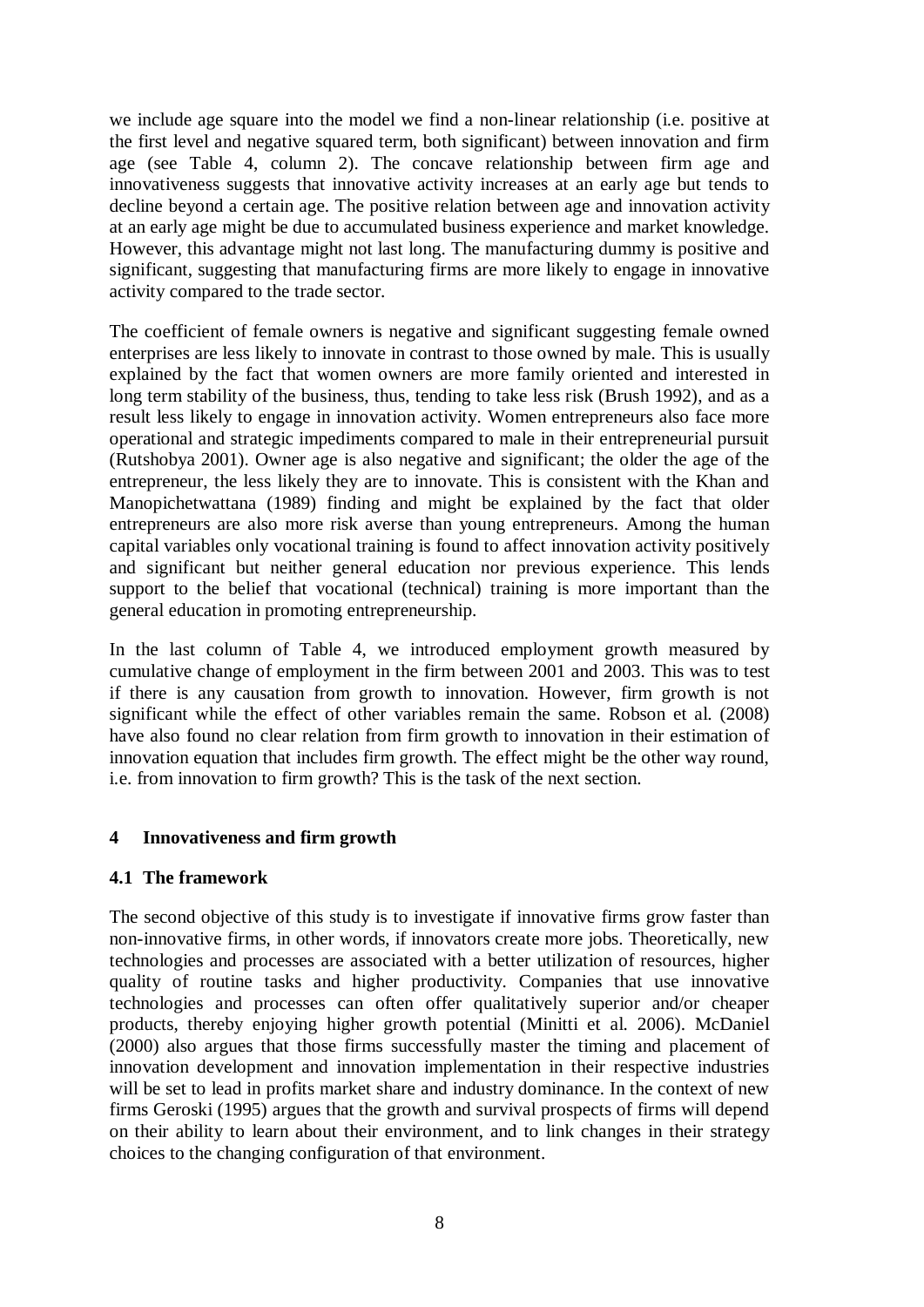we include age square into the model we find a non-linear relationship (i.e. positive at the first level and negative squared term, both significant) between innovation and firm age (see Table 4, column 2). The concave relationship between firm age and innovativeness suggests that innovative activity increases at an early age but tends to decline beyond a certain age. The positive relation between age and innovation activity at an early age might be due to accumulated business experience and market knowledge. However, this advantage might not last long. The manufacturing dummy is positive and significant, suggesting that manufacturing firms are more likely to engage in innovative activity compared to the trade sector.

The coefficient of female owners is negative and significant suggesting female owned enterprises are less likely to innovate in contrast to those owned by male. This is usually explained by the fact that women owners are more family oriented and interested in long term stability of the business, thus, tending to take less risk (Brush 1992), and as a result less likely to engage in innovation activity. Women entrepreneurs also face more operational and strategic impediments compared to male in their entrepreneurial pursuit (Rutshobya 2001). Owner age is also negative and significant; the older the age of the entrepreneur, the less likely they are to innovate. This is consistent with the Khan and Manopichetwattana (1989) finding and might be explained by the fact that older entrepreneurs are also more risk averse than young entrepreneurs. Among the human capital variables only vocational training is found to affect innovation activity positively and significant but neither general education nor previous experience. This lends support to the belief that vocational (technical) training is more important than the general education in promoting entrepreneurship.

In the last column of Table 4, we introduced employment growth measured by cumulative change of employment in the firm between 2001 and 2003. This was to test if there is any causation from growth to innovation. However, firm growth is not significant while the effect of other variables remain the same. Robson et al. (2008) have also found no clear relation from firm growth to innovation in their estimation of innovation equation that includes firm growth. The effect might be the other way round, i.e. from innovation to firm growth? This is the task of the next section.

#### **4 Innovativeness and firm growth**

#### **4.1 The framework**

The second objective of this study is to investigate if innovative firms grow faster than non-innovative firms, in other words, if innovators create more jobs. Theoretically, new technologies and processes are associated with a better utilization of resources, higher quality of routine tasks and higher productivity. Companies that use innovative technologies and processes can often offer qualitatively superior and/or cheaper products, thereby enjoying higher growth potential (Minitti et al. 2006). McDaniel (2000) also argues that those firms successfully master the timing and placement of innovation development and innovation implementation in their respective industries will be set to lead in profits market share and industry dominance. In the context of new firms Geroski (1995) argues that the growth and survival prospects of firms will depend on their ability to learn about their environment, and to link changes in their strategy choices to the changing configuration of that environment.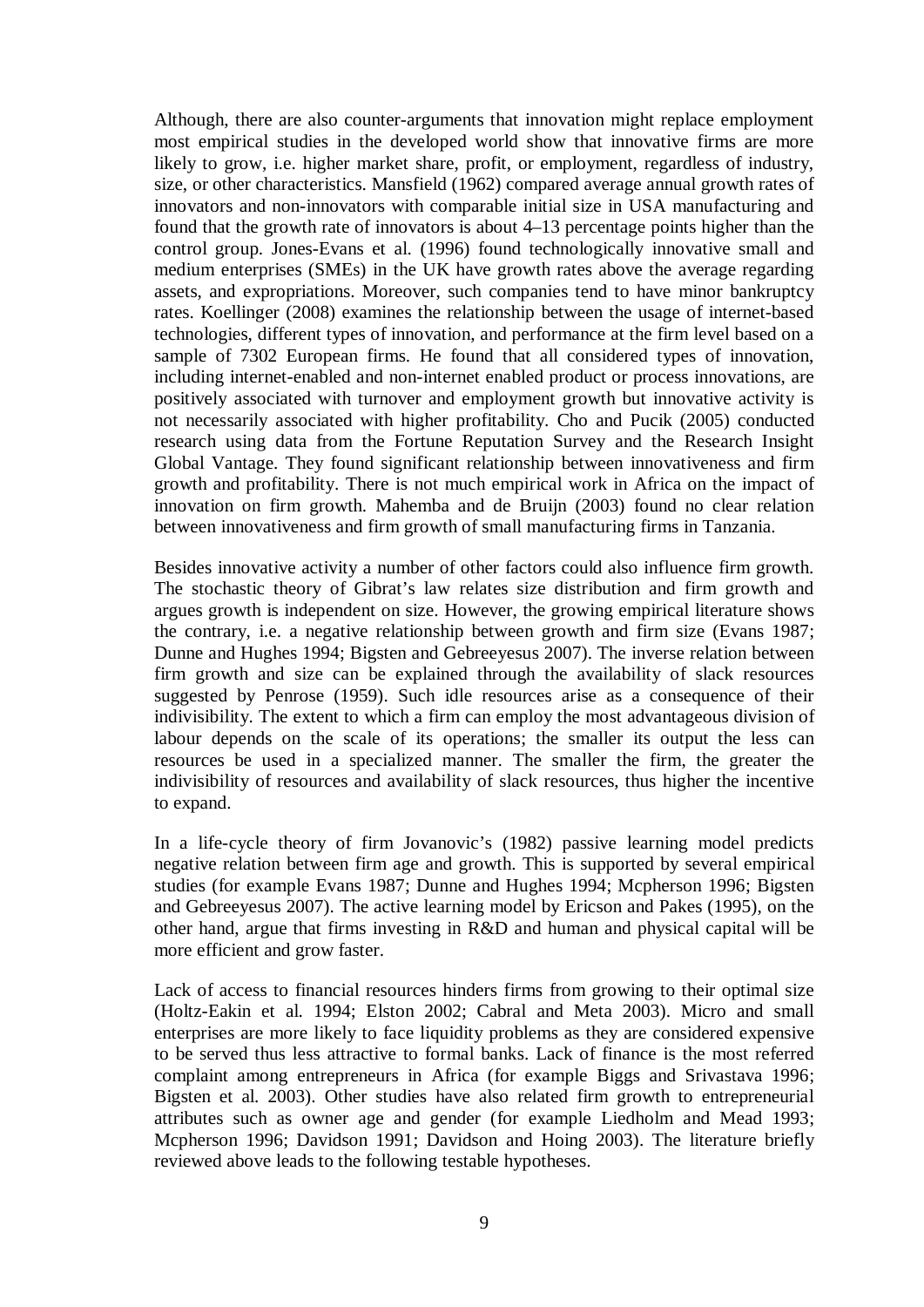Although, there are also counter-arguments that innovation might replace employment most empirical studies in the developed world show that innovative firms are more likely to grow, i.e. higher market share, profit, or employment, regardless of industry, size, or other characteristics. Mansfield (1962) compared average annual growth rates of innovators and non-innovators with comparable initial size in USA manufacturing and found that the growth rate of innovators is about 4–13 percentage points higher than the control group. Jones-Evans et al. (1996) found technologically innovative small and medium enterprises (SMEs) in the UK have growth rates above the average regarding assets, and expropriations. Moreover, such companies tend to have minor bankruptcy rates. Koellinger (2008) examines the relationship between the usage of internet-based technologies, different types of innovation, and performance at the firm level based on a sample of 7302 European firms. He found that all considered types of innovation, including internet-enabled and non-internet enabled product or process innovations, are positively associated with turnover and employment growth but innovative activity is not necessarily associated with higher profitability. Cho and Pucik (2005) conducted research using data from the Fortune Reputation Survey and the Research Insight Global Vantage. They found significant relationship between innovativeness and firm growth and profitability. There is not much empirical work in Africa on the impact of innovation on firm growth. Mahemba and de Bruijn (2003) found no clear relation between innovativeness and firm growth of small manufacturing firms in Tanzania.

Besides innovative activity a number of other factors could also influence firm growth. The stochastic theory of Gibrat's law relates size distribution and firm growth and argues growth is independent on size. However, the growing empirical literature shows the contrary, i.e. a negative relationship between growth and firm size (Evans 1987; Dunne and Hughes 1994; Bigsten and Gebreeyesus 2007). The inverse relation between firm growth and size can be explained through the availability of slack resources suggested by Penrose (1959). Such idle resources arise as a consequence of their indivisibility. The extent to which a firm can employ the most advantageous division of labour depends on the scale of its operations; the smaller its output the less can resources be used in a specialized manner. The smaller the firm, the greater the indivisibility of resources and availability of slack resources, thus higher the incentive to expand.

In a life-cycle theory of firm Jovanovic's (1982) passive learning model predicts negative relation between firm age and growth. This is supported by several empirical studies (for example Evans 1987; Dunne and Hughes 1994; Mcpherson 1996; Bigsten and Gebreeyesus 2007). The active learning model by Ericson and Pakes (1995), on the other hand, argue that firms investing in R&D and human and physical capital will be more efficient and grow faster.

Lack of access to financial resources hinders firms from growing to their optimal size (Holtz-Eakin et al. 1994; Elston 2002; Cabral and Meta 2003). Micro and small enterprises are more likely to face liquidity problems as they are considered expensive to be served thus less attractive to formal banks. Lack of finance is the most referred complaint among entrepreneurs in Africa (for example Biggs and Srivastava 1996; Bigsten et al. 2003). Other studies have also related firm growth to entrepreneurial attributes such as owner age and gender (for example Liedholm and Mead 1993; Mcpherson 1996; Davidson 1991; Davidson and Hoing 2003). The literature briefly reviewed above leads to the following testable hypotheses.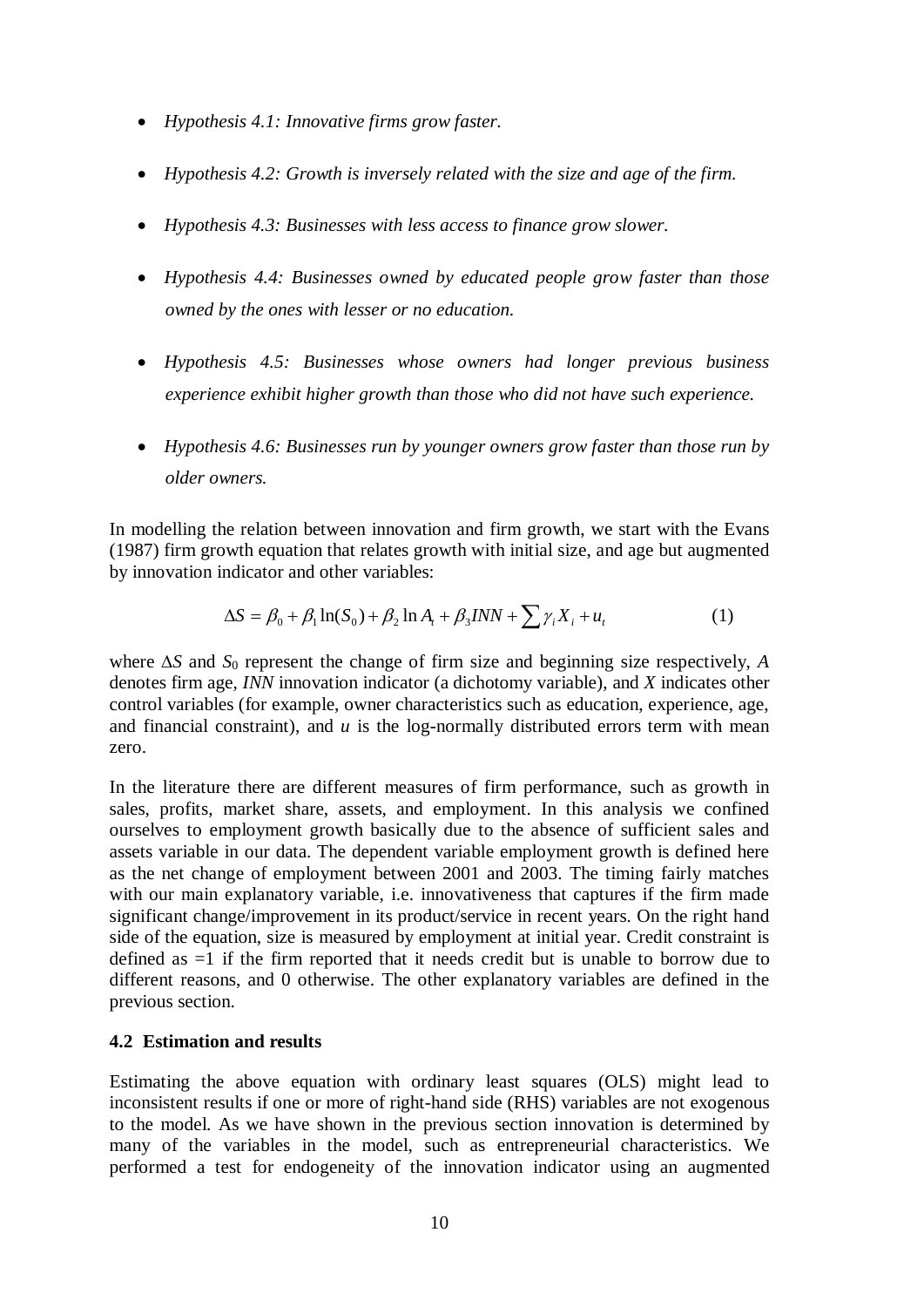- *Hypothesis 4.1: Innovative firms grow faster.*
- *Hypothesis 4.2: Growth is inversely related with the size and age of the firm.*
- *Hypothesis 4.3: Businesses with less access to finance grow slower.*
- *Hypothesis 4.4: Businesses owned by educated people grow faster than those owned by the ones with lesser or no education.*
- *Hypothesis 4.5: Businesses whose owners had longer previous business experience exhibit higher growth than those who did not have such experience.*
- *Hypothesis 4.6: Businesses run by younger owners grow faster than those run by older owners.*

In modelling the relation between innovation and firm growth, we start with the Evans (1987) firm growth equation that relates growth with initial size, and age but augmented by innovation indicator and other variables:

$$
\Delta S = \beta_0 + \beta_1 \ln(S_0) + \beta_2 \ln A_t + \beta_3 INN + \sum \gamma_i X_i + u_t
$$
 (1)

where ∆*S* and *S*0 represent the change of firm size and beginning size respectively, *A* denotes firm age, *INN* innovation indicator (a dichotomy variable), and *X* indicates other control variables (for example, owner characteristics such as education, experience, age, and financial constraint), and *u* is the log-normally distributed errors term with mean zero.

In the literature there are different measures of firm performance, such as growth in sales, profits, market share, assets, and employment. In this analysis we confined ourselves to employment growth basically due to the absence of sufficient sales and assets variable in our data. The dependent variable employment growth is defined here as the net change of employment between 2001 and 2003. The timing fairly matches with our main explanatory variable, i.e. innovativeness that captures if the firm made significant change/improvement in its product/service in recent years. On the right hand side of the equation, size is measured by employment at initial year. Credit constraint is defined as =1 if the firm reported that it needs credit but is unable to borrow due to different reasons, and 0 otherwise. The other explanatory variables are defined in the previous section.

#### **4.2 Estimation and results**

Estimating the above equation with ordinary least squares (OLS) might lead to inconsistent results if one or more of right-hand side (RHS) variables are not exogenous to the model. As we have shown in the previous section innovation is determined by many of the variables in the model, such as entrepreneurial characteristics. We performed a test for endogeneity of the innovation indicator using an augmented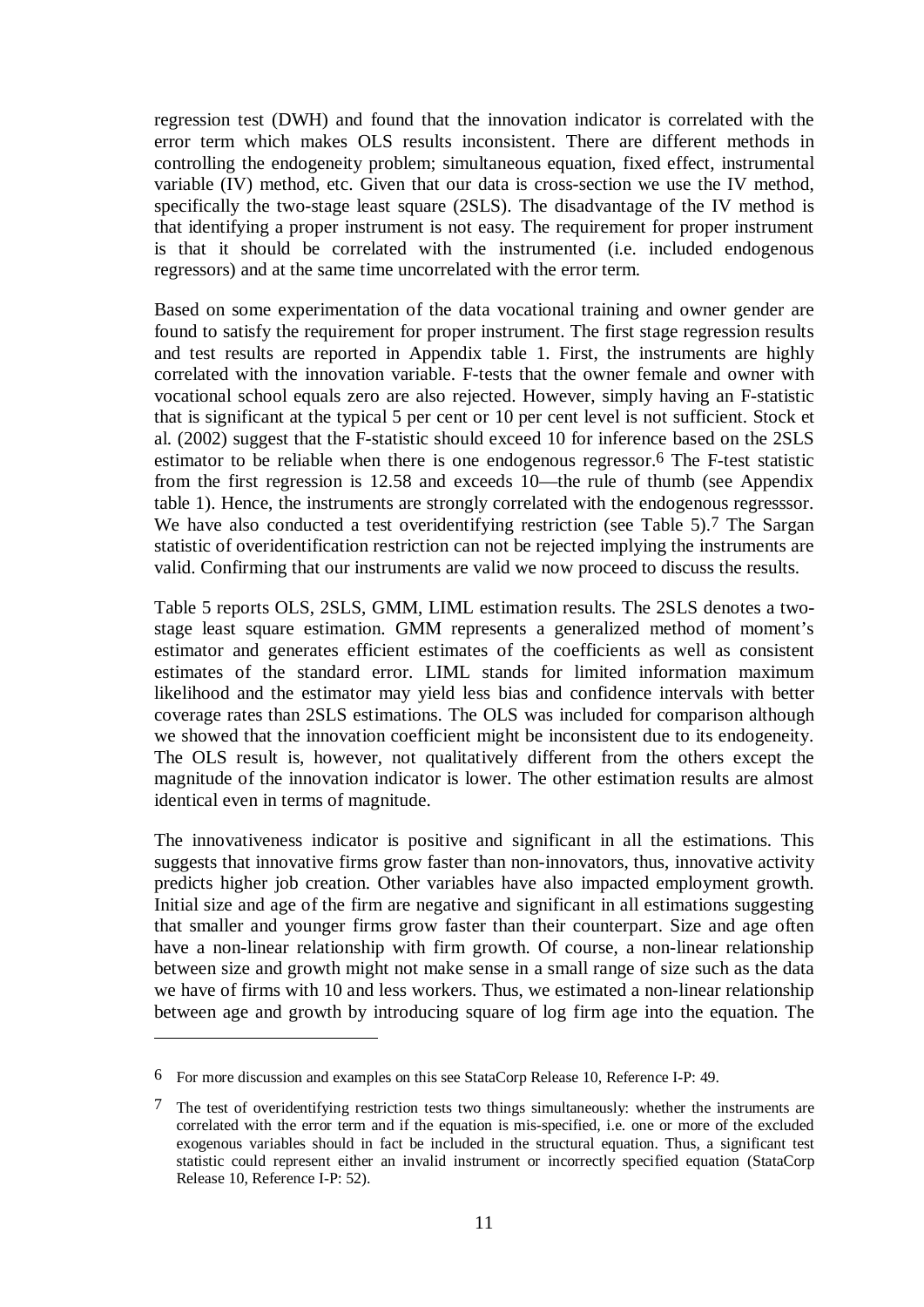regression test (DWH) and found that the innovation indicator is correlated with the error term which makes OLS results inconsistent. There are different methods in controlling the endogeneity problem; simultaneous equation, fixed effect, instrumental variable (IV) method, etc. Given that our data is cross-section we use the IV method, specifically the two-stage least square (2SLS). The disadvantage of the IV method is that identifying a proper instrument is not easy. The requirement for proper instrument is that it should be correlated with the instrumented (i.e. included endogenous regressors) and at the same time uncorrelated with the error term.

Based on some experimentation of the data vocational training and owner gender are found to satisfy the requirement for proper instrument. The first stage regression results and test results are reported in Appendix table 1. First, the instruments are highly correlated with the innovation variable. F-tests that the owner female and owner with vocational school equals zero are also rejected. However, simply having an F-statistic that is significant at the typical 5 per cent or 10 per cent level is not sufficient. Stock et al. (2002) suggest that the F-statistic should exceed 10 for inference based on the 2SLS estimator to be reliable when there is one endogenous regressor.6 The F-test statistic from the first regression is 12.58 and exceeds 10—the rule of thumb (see Appendix table 1). Hence, the instruments are strongly correlated with the endogenous regresssor. We have also conducted a test overidentifying restriction (see Table 5).<sup>7</sup> The Sargan statistic of overidentification restriction can not be rejected implying the instruments are valid. Confirming that our instruments are valid we now proceed to discuss the results.

Table 5 reports OLS, 2SLS, GMM, LIML estimation results. The 2SLS denotes a twostage least square estimation. GMM represents a generalized method of moment's estimator and generates efficient estimates of the coefficients as well as consistent estimates of the standard error. LIML stands for limited information maximum likelihood and the estimator may yield less bias and confidence intervals with better coverage rates than 2SLS estimations. The OLS was included for comparison although we showed that the innovation coefficient might be inconsistent due to its endogeneity. The OLS result is, however, not qualitatively different from the others except the magnitude of the innovation indicator is lower. The other estimation results are almost identical even in terms of magnitude.

The innovativeness indicator is positive and significant in all the estimations. This suggests that innovative firms grow faster than non-innovators, thus, innovative activity predicts higher job creation. Other variables have also impacted employment growth. Initial size and age of the firm are negative and significant in all estimations suggesting that smaller and younger firms grow faster than their counterpart. Size and age often have a non-linear relationship with firm growth. Of course, a non-linear relationship between size and growth might not make sense in a small range of size such as the data we have of firms with 10 and less workers. Thus, we estimated a non-linear relationship between age and growth by introducing square of log firm age into the equation. The

1

<sup>6</sup> For more discussion and examples on this see StataCorp Release 10, Reference I-P: 49.

<sup>7</sup> The test of overidentifying restriction tests two things simultaneously: whether the instruments are correlated with the error term and if the equation is mis-specified, i.e. one or more of the excluded exogenous variables should in fact be included in the structural equation. Thus, a significant test statistic could represent either an invalid instrument or incorrectly specified equation (StataCorp Release 10, Reference I-P: 52).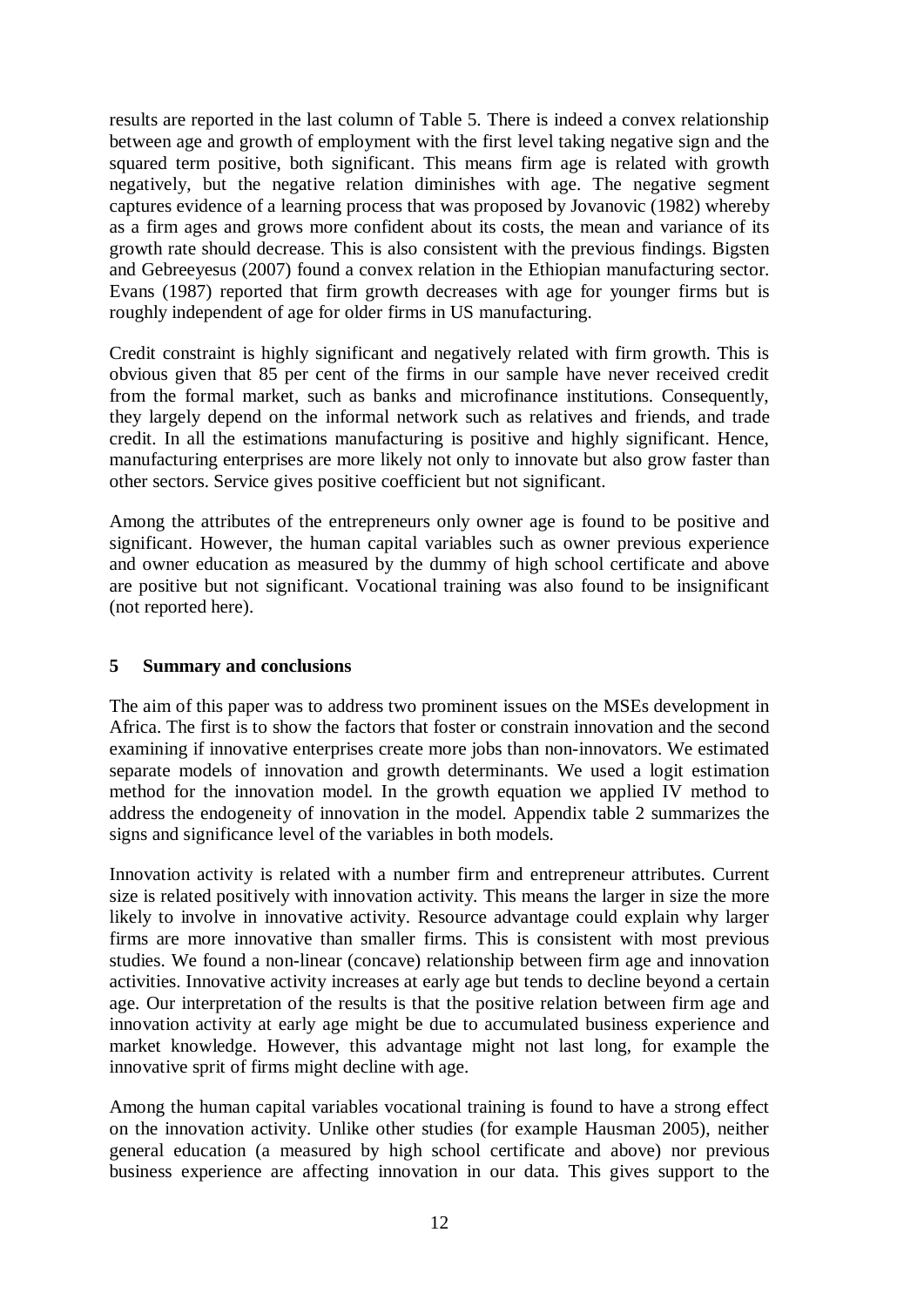results are reported in the last column of Table 5. There is indeed a convex relationship between age and growth of employment with the first level taking negative sign and the squared term positive, both significant. This means firm age is related with growth negatively, but the negative relation diminishes with age. The negative segment captures evidence of a learning process that was proposed by Jovanovic (1982) whereby as a firm ages and grows more confident about its costs, the mean and variance of its growth rate should decrease. This is also consistent with the previous findings. Bigsten and Gebreeyesus (2007) found a convex relation in the Ethiopian manufacturing sector. Evans (1987) reported that firm growth decreases with age for younger firms but is roughly independent of age for older firms in US manufacturing.

Credit constraint is highly significant and negatively related with firm growth. This is obvious given that 85 per cent of the firms in our sample have never received credit from the formal market, such as banks and microfinance institutions. Consequently, they largely depend on the informal network such as relatives and friends, and trade credit. In all the estimations manufacturing is positive and highly significant. Hence, manufacturing enterprises are more likely not only to innovate but also grow faster than other sectors. Service gives positive coefficient but not significant.

Among the attributes of the entrepreneurs only owner age is found to be positive and significant. However, the human capital variables such as owner previous experience and owner education as measured by the dummy of high school certificate and above are positive but not significant. Vocational training was also found to be insignificant (not reported here).

#### **5 Summary and conclusions**

The aim of this paper was to address two prominent issues on the MSEs development in Africa. The first is to show the factors that foster or constrain innovation and the second examining if innovative enterprises create more jobs than non-innovators. We estimated separate models of innovation and growth determinants. We used a logit estimation method for the innovation model. In the growth equation we applied IV method to address the endogeneity of innovation in the model. Appendix table 2 summarizes the signs and significance level of the variables in both models.

Innovation activity is related with a number firm and entrepreneur attributes. Current size is related positively with innovation activity. This means the larger in size the more likely to involve in innovative activity. Resource advantage could explain why larger firms are more innovative than smaller firms. This is consistent with most previous studies. We found a non-linear (concave) relationship between firm age and innovation activities. Innovative activity increases at early age but tends to decline beyond a certain age. Our interpretation of the results is that the positive relation between firm age and innovation activity at early age might be due to accumulated business experience and market knowledge. However, this advantage might not last long, for example the innovative sprit of firms might decline with age.

Among the human capital variables vocational training is found to have a strong effect on the innovation activity. Unlike other studies (for example Hausman 2005), neither general education (a measured by high school certificate and above) nor previous business experience are affecting innovation in our data. This gives support to the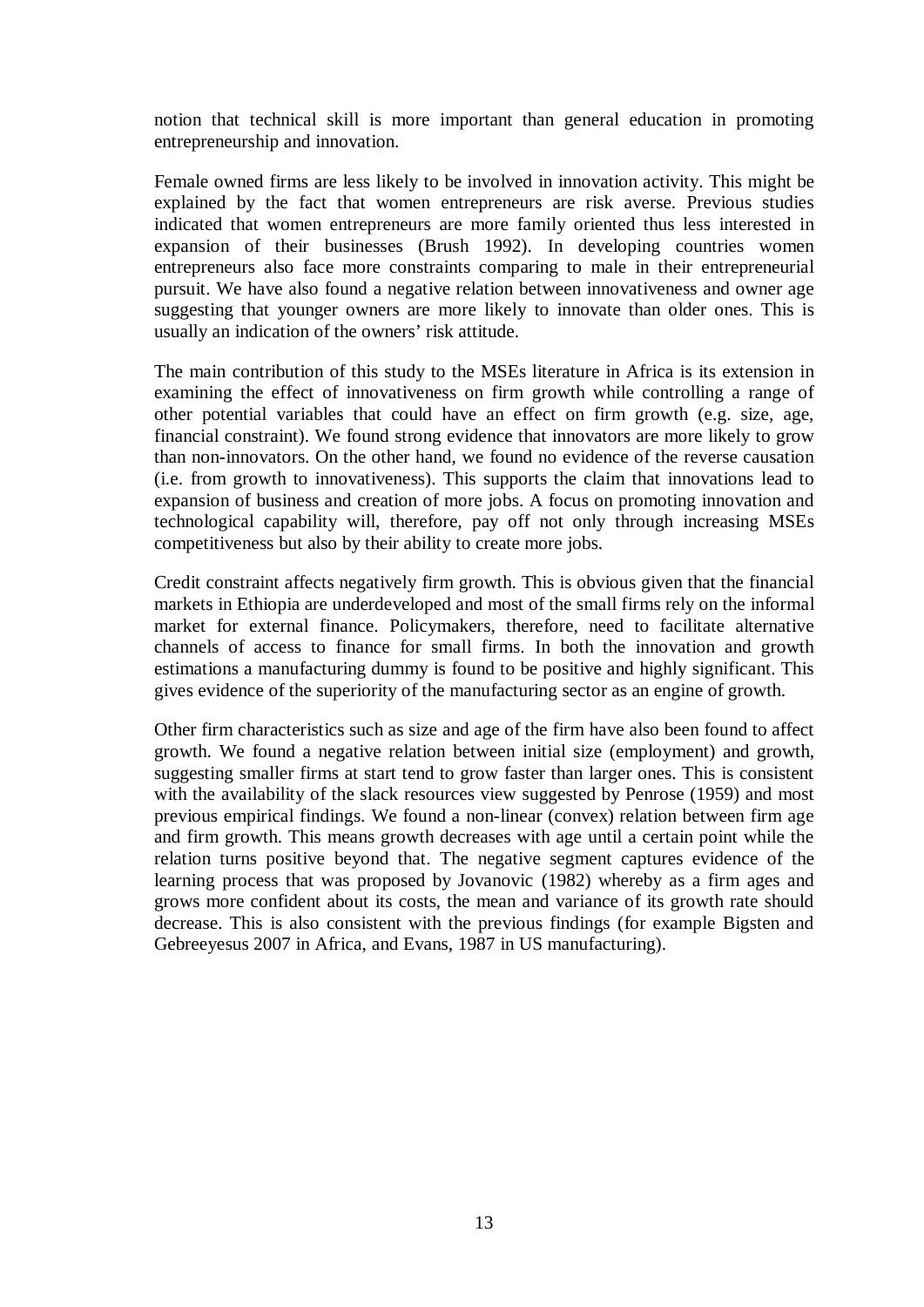notion that technical skill is more important than general education in promoting entrepreneurship and innovation.

Female owned firms are less likely to be involved in innovation activity. This might be explained by the fact that women entrepreneurs are risk averse. Previous studies indicated that women entrepreneurs are more family oriented thus less interested in expansion of their businesses (Brush 1992). In developing countries women entrepreneurs also face more constraints comparing to male in their entrepreneurial pursuit. We have also found a negative relation between innovativeness and owner age suggesting that younger owners are more likely to innovate than older ones. This is usually an indication of the owners' risk attitude.

The main contribution of this study to the MSEs literature in Africa is its extension in examining the effect of innovativeness on firm growth while controlling a range of other potential variables that could have an effect on firm growth (e.g. size, age, financial constraint). We found strong evidence that innovators are more likely to grow than non-innovators. On the other hand, we found no evidence of the reverse causation (i.e. from growth to innovativeness). This supports the claim that innovations lead to expansion of business and creation of more jobs. A focus on promoting innovation and technological capability will, therefore, pay off not only through increasing MSEs competitiveness but also by their ability to create more jobs.

Credit constraint affects negatively firm growth. This is obvious given that the financial markets in Ethiopia are underdeveloped and most of the small firms rely on the informal market for external finance. Policymakers, therefore, need to facilitate alternative channels of access to finance for small firms. In both the innovation and growth estimations a manufacturing dummy is found to be positive and highly significant. This gives evidence of the superiority of the manufacturing sector as an engine of growth.

Other firm characteristics such as size and age of the firm have also been found to affect growth. We found a negative relation between initial size (employment) and growth, suggesting smaller firms at start tend to grow faster than larger ones. This is consistent with the availability of the slack resources view suggested by Penrose (1959) and most previous empirical findings. We found a non-linear (convex) relation between firm age and firm growth. This means growth decreases with age until a certain point while the relation turns positive beyond that. The negative segment captures evidence of the learning process that was proposed by Jovanovic (1982) whereby as a firm ages and grows more confident about its costs, the mean and variance of its growth rate should decrease. This is also consistent with the previous findings (for example Bigsten and Gebreeyesus 2007 in Africa, and Evans, 1987 in US manufacturing).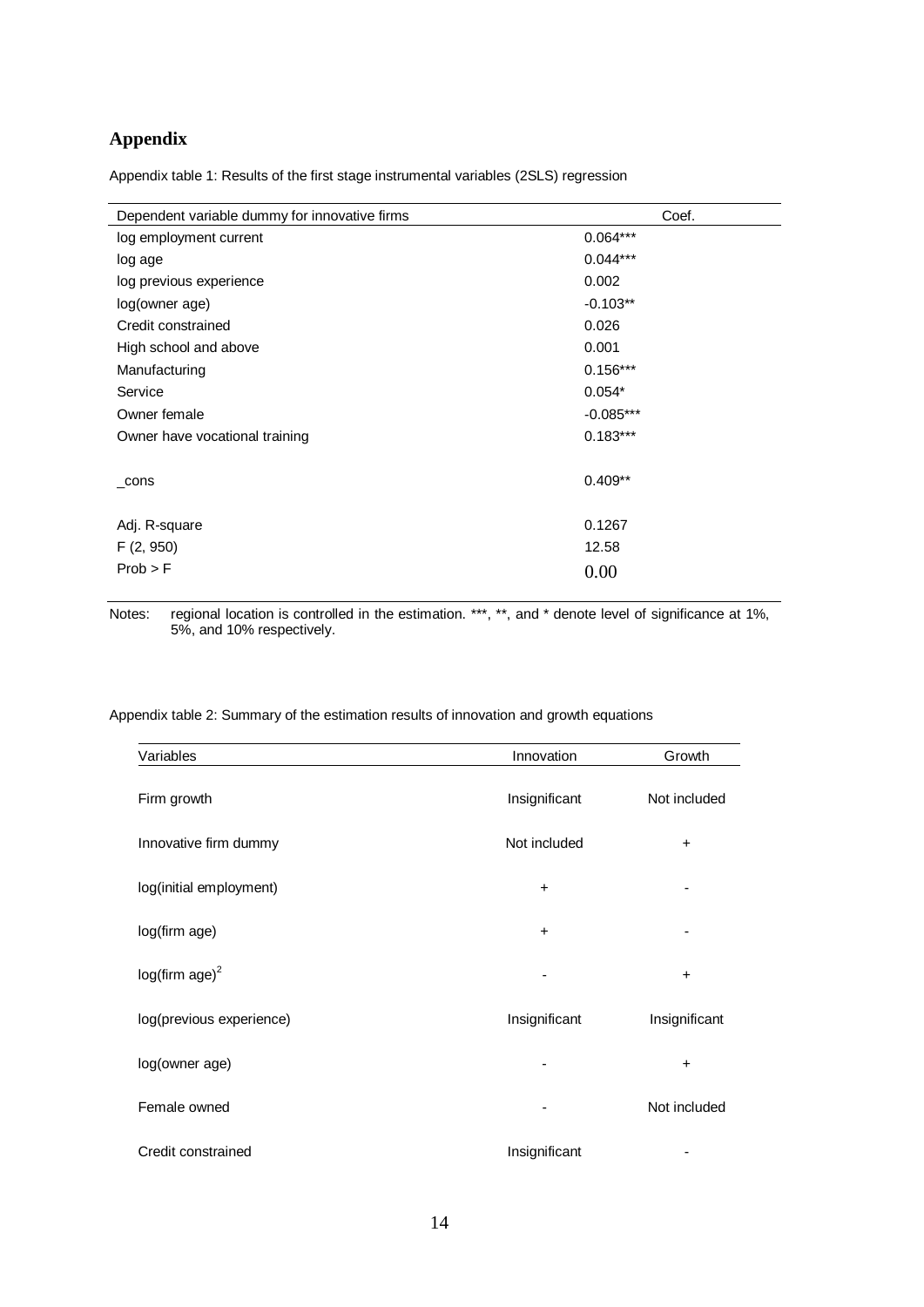### **Appendix**

Appendix table 1: Results of the first stage instrumental variables (2SLS) regression

| Dependent variable dummy for innovative firms | Coef.       |
|-----------------------------------------------|-------------|
| log employment current                        | $0.064***$  |
| log age                                       | $0.044***$  |
| log previous experience                       | 0.002       |
| log(owner age)                                | $-0.103**$  |
| Credit constrained                            | 0.026       |
| High school and above                         | 0.001       |
| Manufacturing                                 | $0.156***$  |
| Service                                       | $0.054*$    |
| Owner female                                  | $-0.085***$ |
| Owner have vocational training                | $0.183***$  |
|                                               |             |
| cons                                          | $0.409**$   |
|                                               |             |
| Adj. R-square                                 | 0.1267      |
| F(2, 950)                                     | 12.58       |
| Prob > F                                      | 0.00        |
|                                               |             |

Notes: regional location is controlled in the estimation. \*\*\*, \*\*, and \* denote level of significance at 1%, 5%, and 10% respectively.

Appendix table 2: Summary of the estimation results of innovation and growth equations

| Variables                | Innovation    | Growth        |
|--------------------------|---------------|---------------|
| Firm growth              | Insignificant | Not included  |
| Innovative firm dummy    | Not included  | $\ddot{}$     |
| log(initial employment)  | $\ddot{}$     |               |
| log(firm age)            | $\ddot{}$     |               |
| $log(firm age)^2$        |               | $\ddot{}$     |
| log(previous experience) | Insignificant | Insignificant |
| log(owner age)           | -             | $\ddot{}$     |
| Female owned             |               | Not included  |
| Credit constrained       | Insignificant |               |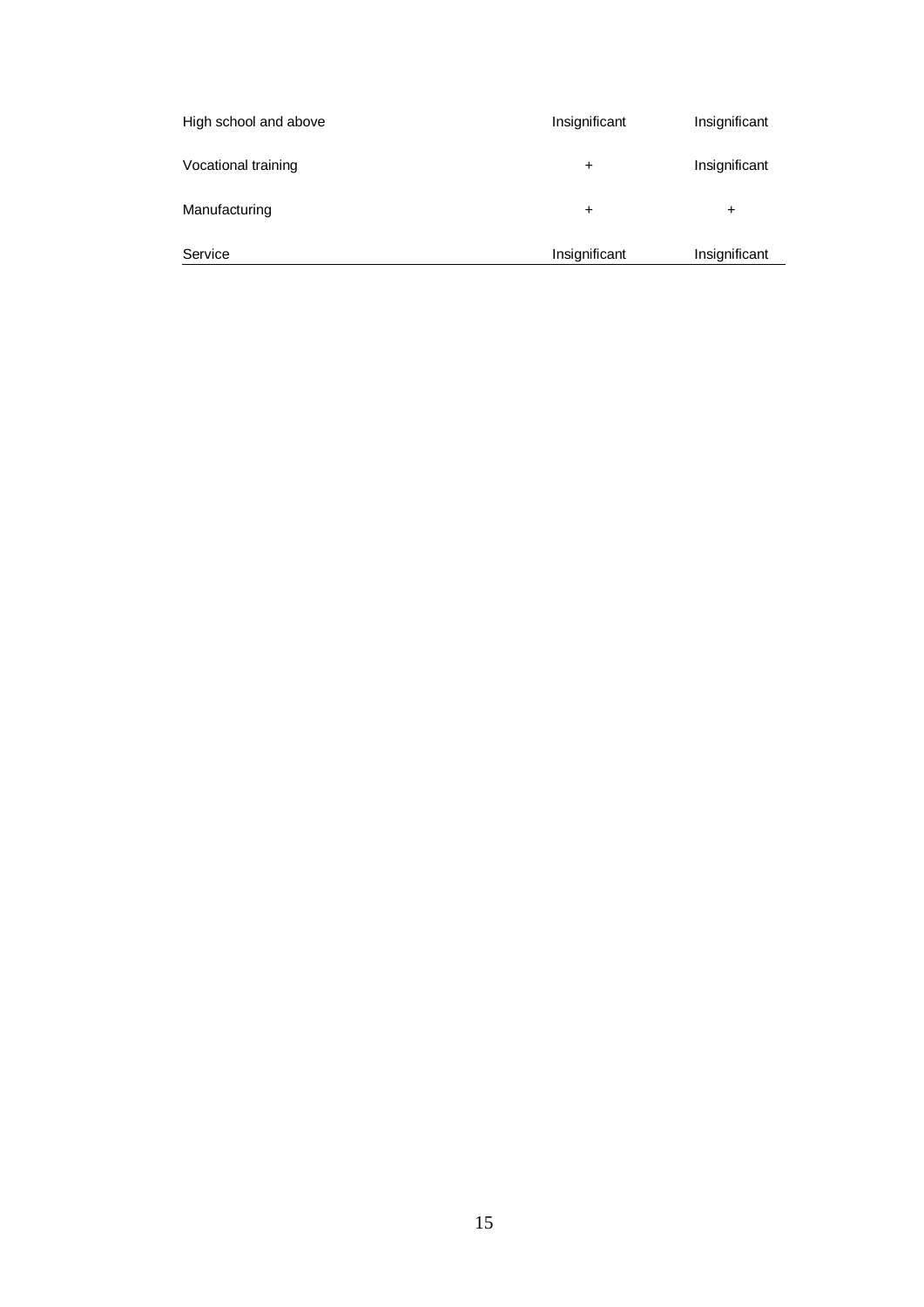| Service               | Insignificant | Insignificant |
|-----------------------|---------------|---------------|
| Manufacturing         | $\pm$         | ÷             |
| Vocational training   | $\ddot{}$     | Insignificant |
| High school and above | Insignificant | Insignificant |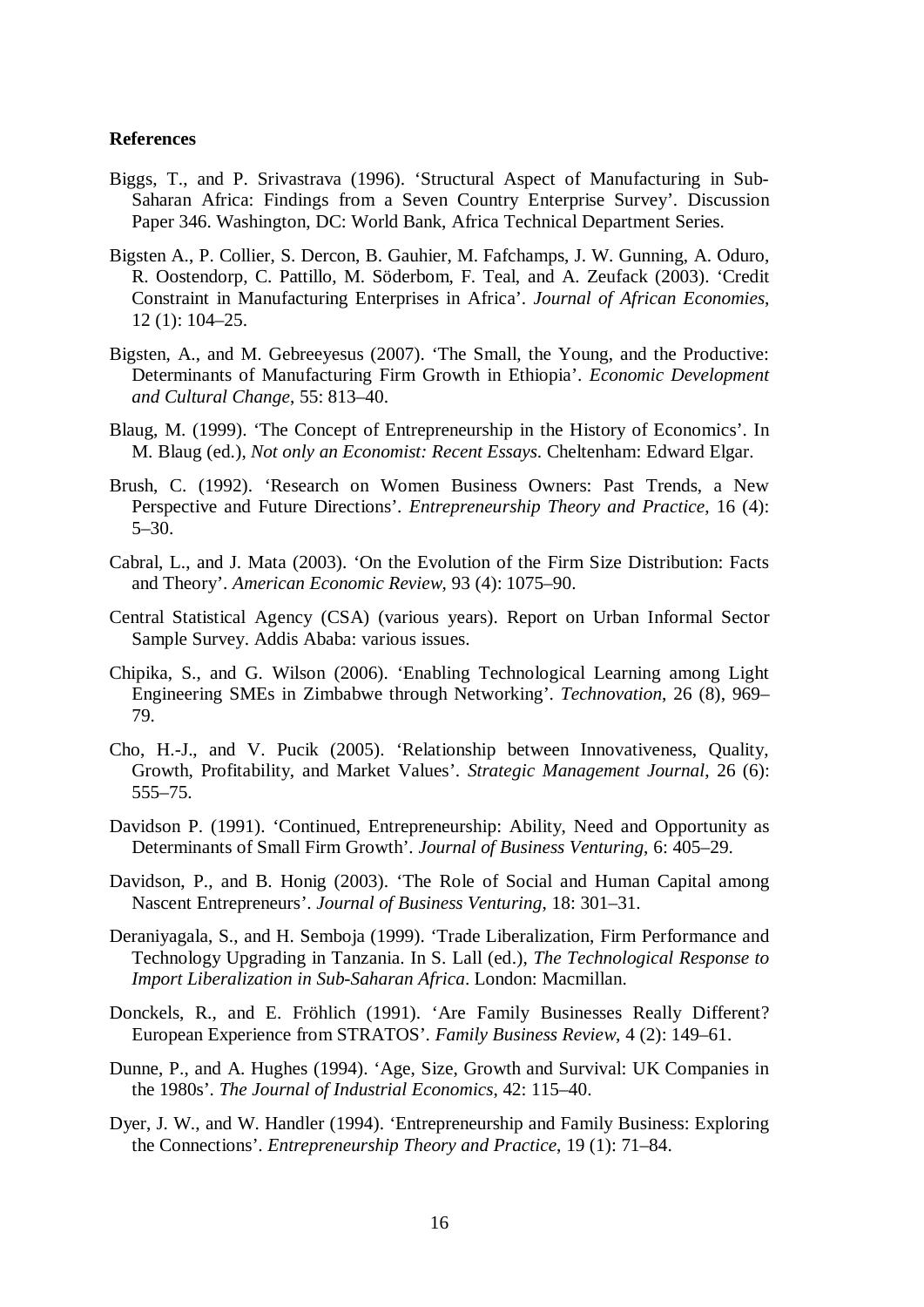#### **References**

- Biggs, T., and P. Srivastrava (1996). 'Structural Aspect of Manufacturing in Sub-Saharan Africa: Findings from a Seven Country Enterprise Survey'. Discussion Paper 346. Washington, DC: World Bank, Africa Technical Department Series.
- Bigsten A., P. Collier, S. Dercon, B. Gauhier, M. Fafchamps, J. W. Gunning, A. Oduro, R. Oostendorp, C. Pattillo, M. Söderbom, F. Teal, and A. Zeufack (2003). 'Credit Constraint in Manufacturing Enterprises in Africa'. *Journal of African Economies*, 12 (1): 104–25.
- Bigsten, A., and M. Gebreeyesus (2007). 'The Small, the Young, and the Productive: Determinants of Manufacturing Firm Growth in Ethiopia'. *Economic Development and Cultural Change*, 55: 813–40.
- Blaug, M. (1999). 'The Concept of Entrepreneurship in the History of Economics'. In M. Blaug (ed.), *Not only an Economist: Recent Essays*. Cheltenham: Edward Elgar.
- Brush, C. (1992). 'Research on Women Business Owners: Past Trends, a New Perspective and Future Directions'. *Entrepreneurship Theory and Practice*, 16 (4): 5–30.
- Cabral, L., and J. Mata (2003). 'On the Evolution of the Firm Size Distribution: Facts and Theory'. *American Economic Review*, 93 (4): 1075–90.
- Central Statistical Agency (CSA) (various years). Report on Urban Informal Sector Sample Survey. Addis Ababa: various issues.
- Chipika, S., and G. Wilson (2006). 'Enabling Technological Learning among Light Engineering SMEs in Zimbabwe through Networking'. *Technovation*, 26 (8), 969– 79.
- Cho, H.-J., and V. Pucik (2005). 'Relationship between Innovativeness, Quality, Growth, Profitability, and Market Values'. *Strategic Management Journal*, 26 (6): 555–75.
- Davidson P. (1991). 'Continued, Entrepreneurship: Ability, Need and Opportunity as Determinants of Small Firm Growth'. *Journal of Business Venturing*, 6: 405–29.
- Davidson, P., and B. Honig (2003). 'The Role of Social and Human Capital among Nascent Entrepreneurs'. *Journal of Business Venturing*, 18: 301–31.
- Deraniyagala, S., and H. Semboja (1999). 'Trade Liberalization, Firm Performance and Technology Upgrading in Tanzania. In S. Lall (ed.), *The Technological Response to Import Liberalization in Sub-Saharan Africa*. London: Macmillan.
- Donckels, R., and E. Fröhlich (1991). 'Are Family Businesses Really Different? European Experience from STRATOS'. *Family Business Review*, 4 (2): 149–61.
- Dunne, P., and A. Hughes (1994). 'Age, Size, Growth and Survival: UK Companies in the 1980s'. *The Journal of Industrial Economics*, 42: 115–40.
- Dyer, J. W., and W. Handler (1994). 'Entrepreneurship and Family Business: Exploring the Connections'. *Entrepreneurship Theory and Practice*, 19 (1): 71–84.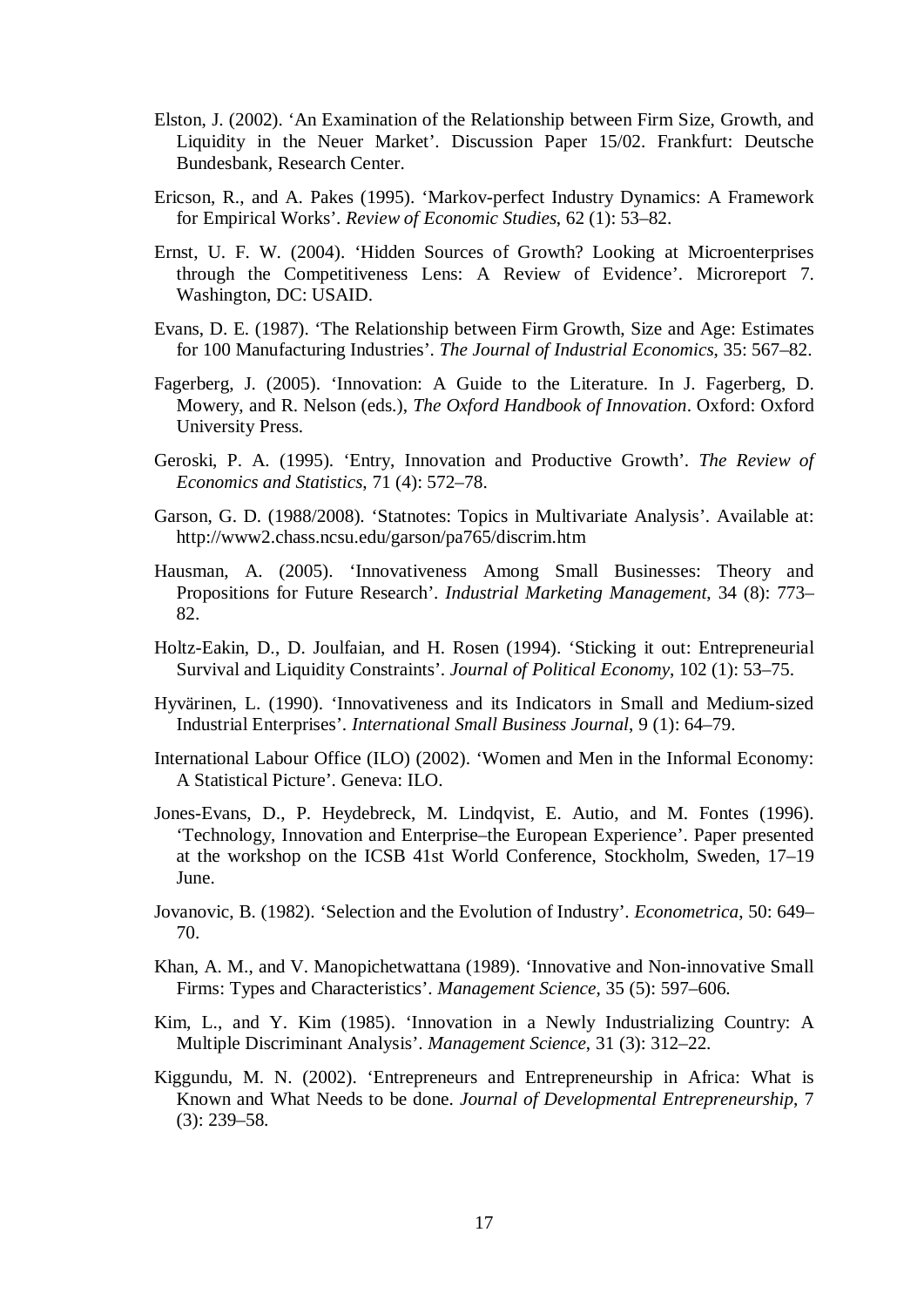- Elston, J. (2002). 'An Examination of the Relationship between Firm Size, Growth, and Liquidity in the Neuer Market'. Discussion Paper 15/02. Frankfurt: Deutsche Bundesbank, Research Center.
- Ericson, R., and A. Pakes (1995). 'Markov-perfect Industry Dynamics: A Framework for Empirical Works'. *Review of Economic Studies*, 62 (1): 53–82.
- Ernst, U. F. W. (2004). 'Hidden Sources of Growth? Looking at Microenterprises through the Competitiveness Lens: A Review of Evidence'. Microreport 7. Washington, DC: USAID.
- Evans, D. E. (1987). 'The Relationship between Firm Growth, Size and Age: Estimates for 100 Manufacturing Industries'. *The Journal of Industrial Economics*, 35: 567–82.
- Fagerberg, J. (2005). 'Innovation: A Guide to the Literature. In J. Fagerberg, D. Mowery, and R. Nelson (eds.), *The Oxford Handbook of Innovation*. Oxford: Oxford University Press.
- Geroski, P. A. (1995). 'Entry, Innovation and Productive Growth'. *The Review of Economics and Statistics*, 71 (4): 572–78.
- Garson, G. D. (1988/2008)*.* 'Statnotes: Topics in Multivariate Analysis'. Available at: http://www2.chass.ncsu.edu/garson/pa765/discrim.htm
- Hausman, A. (2005). 'Innovativeness Among Small Businesses: Theory and Propositions for Future Research'. *Industrial Marketing Management*, 34 (8): 773– 82.
- Holtz-Eakin, D., D. Joulfaian, and H. Rosen (1994). 'Sticking it out: Entrepreneurial Survival and Liquidity Constraints'. *Journal of Political Economy*, 102 (1): 53–75.
- Hyvärinen, L. (1990). 'Innovativeness and its Indicators in Small and Medium-sized Industrial Enterprises'. *International Small Business Journal*, 9 (1): 64–79.
- International Labour Office (ILO) (2002). 'Women and Men in the Informal Economy: A Statistical Picture'. Geneva: ILO.
- Jones-Evans, D., P. Heydebreck, M. Lindqvist, E. Autio, and M. Fontes (1996). 'Technology, Innovation and Enterprise–the European Experience'. Paper presented at the workshop on the ICSB 41st World Conference, Stockholm, Sweden, 17–19 June.
- Jovanovic, B. (1982). 'Selection and the Evolution of Industry'. *Econometrica*, 50: 649– 70.
- Khan, A. M., and V. Manopichetwattana (1989). 'Innovative and Non-innovative Small Firms: Types and Characteristics'. *Management Science*, 35 (5): 597–606.
- Kim, L., and Y. Kim (1985). 'Innovation in a Newly Industrializing Country: A Multiple Discriminant Analysis'. *Management Science*, 31 (3): 312–22.
- Kiggundu, M. N. (2002). 'Entrepreneurs and Entrepreneurship in Africa: What is Known and What Needs to be done. *Journal of Developmental Entrepreneurship*, 7 (3): 239–58.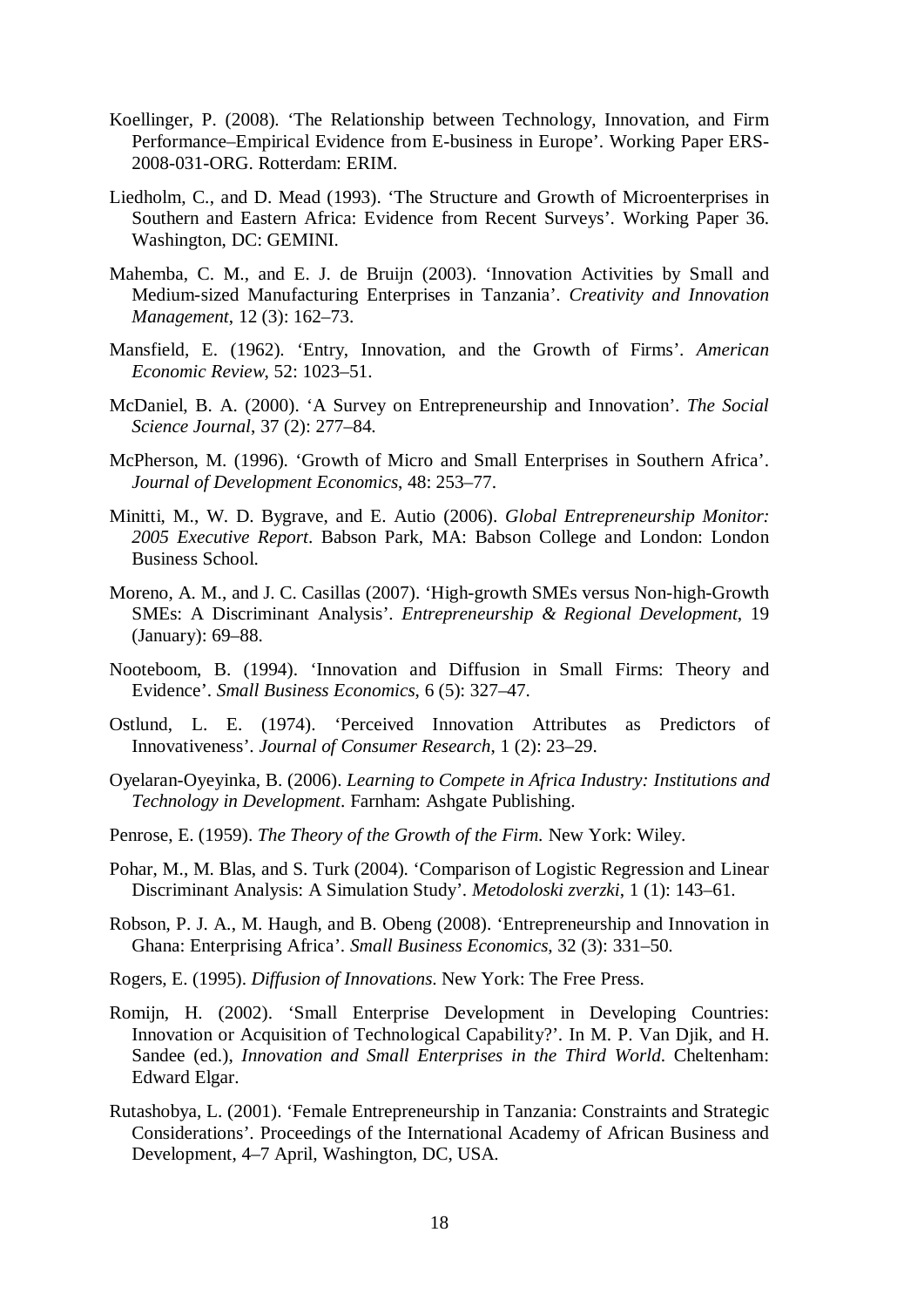- Koellinger, P. (2008). 'The Relationship between Technology, Innovation, and Firm Performance–Empirical Evidence from E-business in Europe'. Working Paper ERS-2008-031-ORG. Rotterdam: ERIM.
- Liedholm, C., and D. Mead (1993). 'The Structure and Growth of Microenterprises in Southern and Eastern Africa: Evidence from Recent Surveys'. Working Paper 36. Washington, DC: GEMINI.
- Mahemba, C. M., and E. J. de Bruijn (2003). 'Innovation Activities by Small and Medium-sized Manufacturing Enterprises in Tanzania'. *Creativity and Innovation Management*, 12 (3): 162–73.
- Mansfield, E. (1962). 'Entry, Innovation, and the Growth of Firms'. *American Economic Review*, 52: 1023–51.
- McDaniel, B. A. (2000). 'A Survey on Entrepreneurship and Innovation'. *The Social Science Journal*, 37 (2): 277–84.
- McPherson, M. (1996). 'Growth of Micro and Small Enterprises in Southern Africa'. *Journal of Development Economics*, 48: 253–77.
- Minitti, M., W. D. Bygrave, and E. Autio (2006). *Global Entrepreneurship Monitor: 2005 Executive Report*. Babson Park, MA: Babson College and London: London Business School.
- Moreno, A. M., and J. C. Casillas (2007). 'High-growth SMEs versus Non-high-Growth SMEs: A Discriminant Analysis'. *Entrepreneurship & Regional Development*, 19 (January): 69–88.
- Nooteboom, B. (1994). 'Innovation and Diffusion in Small Firms: Theory and Evidence'. *Small Business Economics*, 6 (5): 327–47.
- Ostlund, L. E. (1974). 'Perceived Innovation Attributes as Predictors of Innovativeness'. *Journal of Consumer Research*, 1 (2): 23–29.
- Oyelaran-Oyeyinka, B. (2006). *Learning to Compete in Africa Industry: Institutions and Technology in Development*. Farnham: Ashgate Publishing.
- Penrose, E. (1959). *The Theory of the Growth of the Firm.* New York: Wiley.
- Pohar, M., M. Blas, and S. Turk (2004). 'Comparison of Logistic Regression and Linear Discriminant Analysis: A Simulation Study'. *Metodoloski zverzki*, 1 (1): 143–61.
- Robson, P. J. A., M. Haugh, and B. Obeng (2008). 'Entrepreneurship and Innovation in Ghana: Enterprising Africa'. *Small Business Economics*, 32 (3): 331–50.
- Rogers, E. (1995). *Diffusion of Innovations*. New York: The Free Press.
- Romijn, H. (2002). 'Small Enterprise Development in Developing Countries: Innovation or Acquisition of Technological Capability?'. In M. P. Van Djik, and H. Sandee (ed.), *Innovation and Small Enterprises in the Third World*. Cheltenham: Edward Elgar.
- Rutashobya, L. (2001). 'Female Entrepreneurship in Tanzania: Constraints and Strategic Considerations'. Proceedings of the International Academy of African Business and Development, 4–7 April, Washington, DC, USA.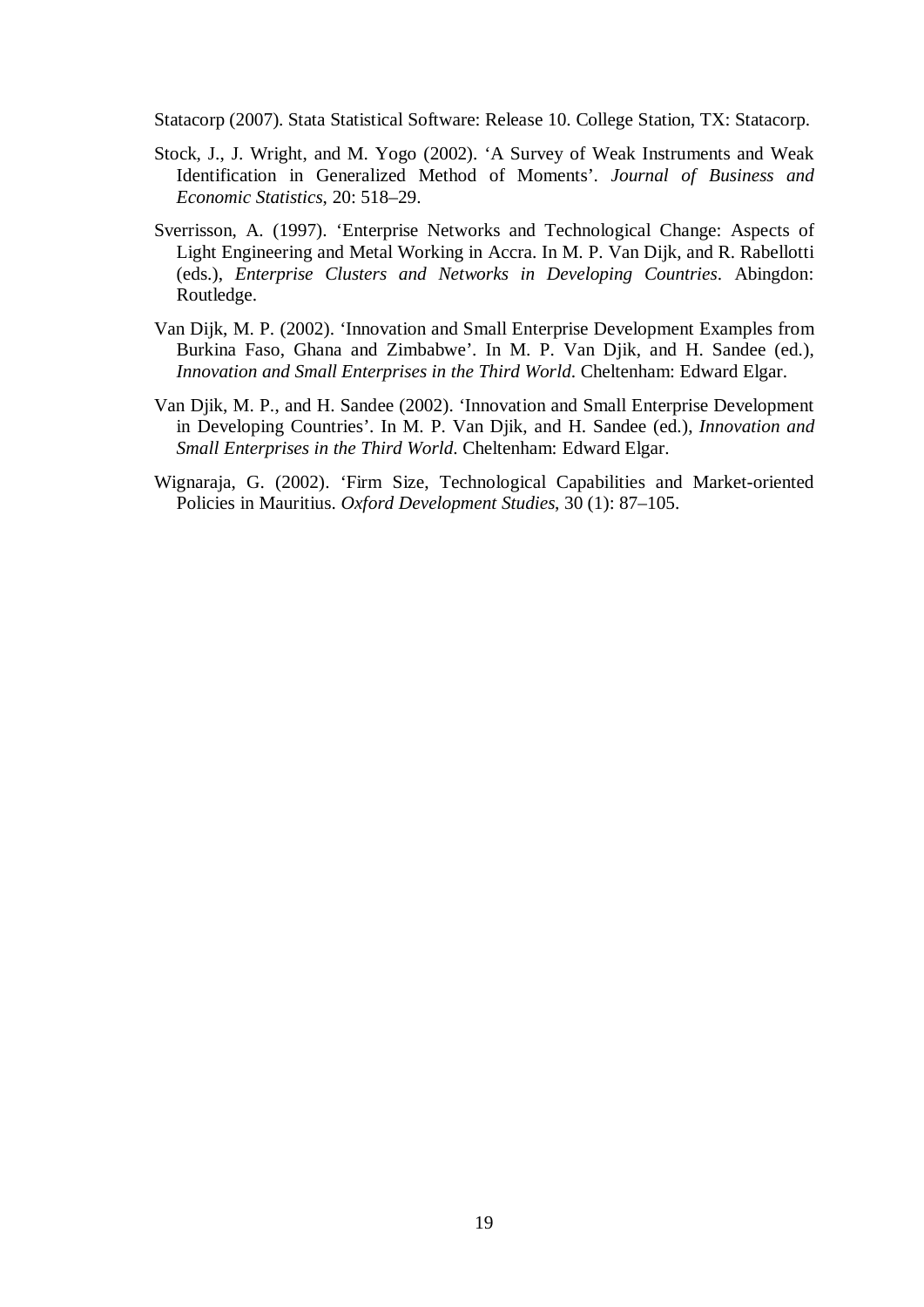Statacorp (2007). Stata Statistical Software: Release 10. College Station, TX: Statacorp.

- Stock, J., J. Wright, and M. Yogo (2002). 'A Survey of Weak Instruments and Weak Identification in Generalized Method of Moments'. *Journal of Business and Economic Statistics*, 20: 518–29.
- Sverrisson, A. (1997). 'Enterprise Networks and Technological Change: Aspects of Light Engineering and Metal Working in Accra. In M. P. Van Dijk, and R. Rabellotti (eds.), *Enterprise Clusters and Networks in Developing Countries*. Abingdon: Routledge.
- Van Dijk, M. P. (2002). 'Innovation and Small Enterprise Development Examples from Burkina Faso, Ghana and Zimbabwe'. In M. P. Van Djik, and H. Sandee (ed.), *Innovation and Small Enterprises in the Third World*. Cheltenham: Edward Elgar.
- Van Djik, M. P., and H. Sandee (2002). 'Innovation and Small Enterprise Development in Developing Countries'. In M. P. Van Djik, and H. Sandee (ed.), *Innovation and Small Enterprises in the Third World*. Cheltenham: Edward Elgar.
- Wignaraja, G. (2002). 'Firm Size, Technological Capabilities and Market-oriented Policies in Mauritius. *Oxford Development Studies*, 30 (1): 87–105.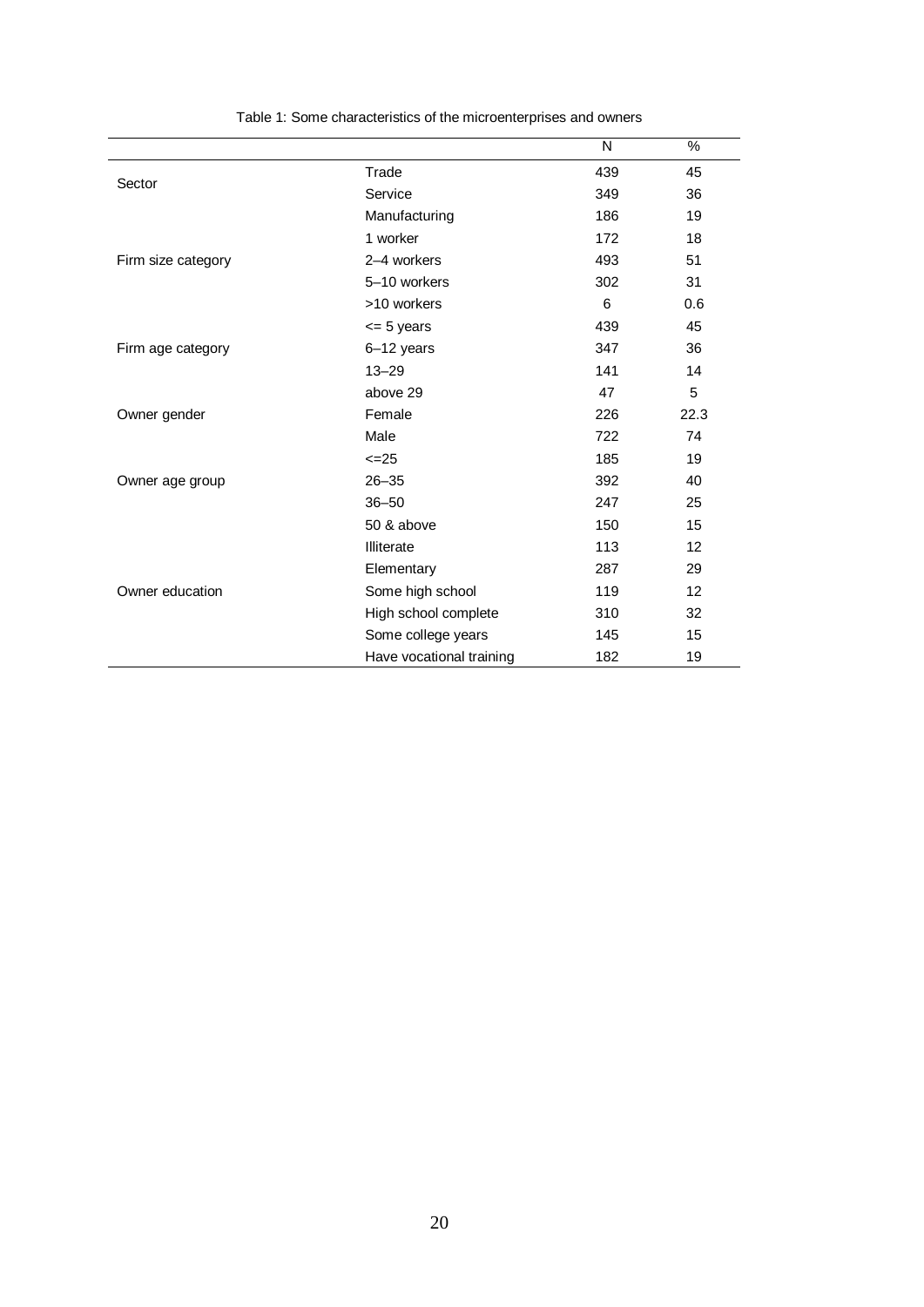|                    |                          | N   | $\%$ |
|--------------------|--------------------------|-----|------|
| Sector             | Trade                    | 439 | 45   |
|                    | Service                  | 349 | 36   |
|                    | Manufacturing            | 186 | 19   |
|                    | 1 worker                 | 172 | 18   |
| Firm size category | 2-4 workers              | 493 | 51   |
|                    | 5-10 workers             | 302 | 31   |
|                    | >10 workers              | 6   | 0.6  |
|                    | $= 5$ years              | 439 | 45   |
| Firm age category  | 6-12 years               | 347 | 36   |
|                    | $13 - 29$                | 141 | 14   |
|                    | above 29                 | 47  | 5    |
| Owner gender       | Female                   | 226 | 22.3 |
|                    | Male                     | 722 | 74   |
|                    | $\leq$ -25               | 185 | 19   |
| Owner age group    | $26 - 35$                | 392 | 40   |
|                    | $36 - 50$                | 247 | 25   |
|                    | 50 & above               | 150 | 15   |
|                    | Illiterate               | 113 | 12   |
|                    | Elementary               | 287 | 29   |
| Owner education    | Some high school         | 119 | 12   |
|                    | High school complete     | 310 | 32   |
|                    | Some college years       | 145 | 15   |
|                    | Have vocational training | 182 | 19   |

Table 1: Some characteristics of the microenterprises and owners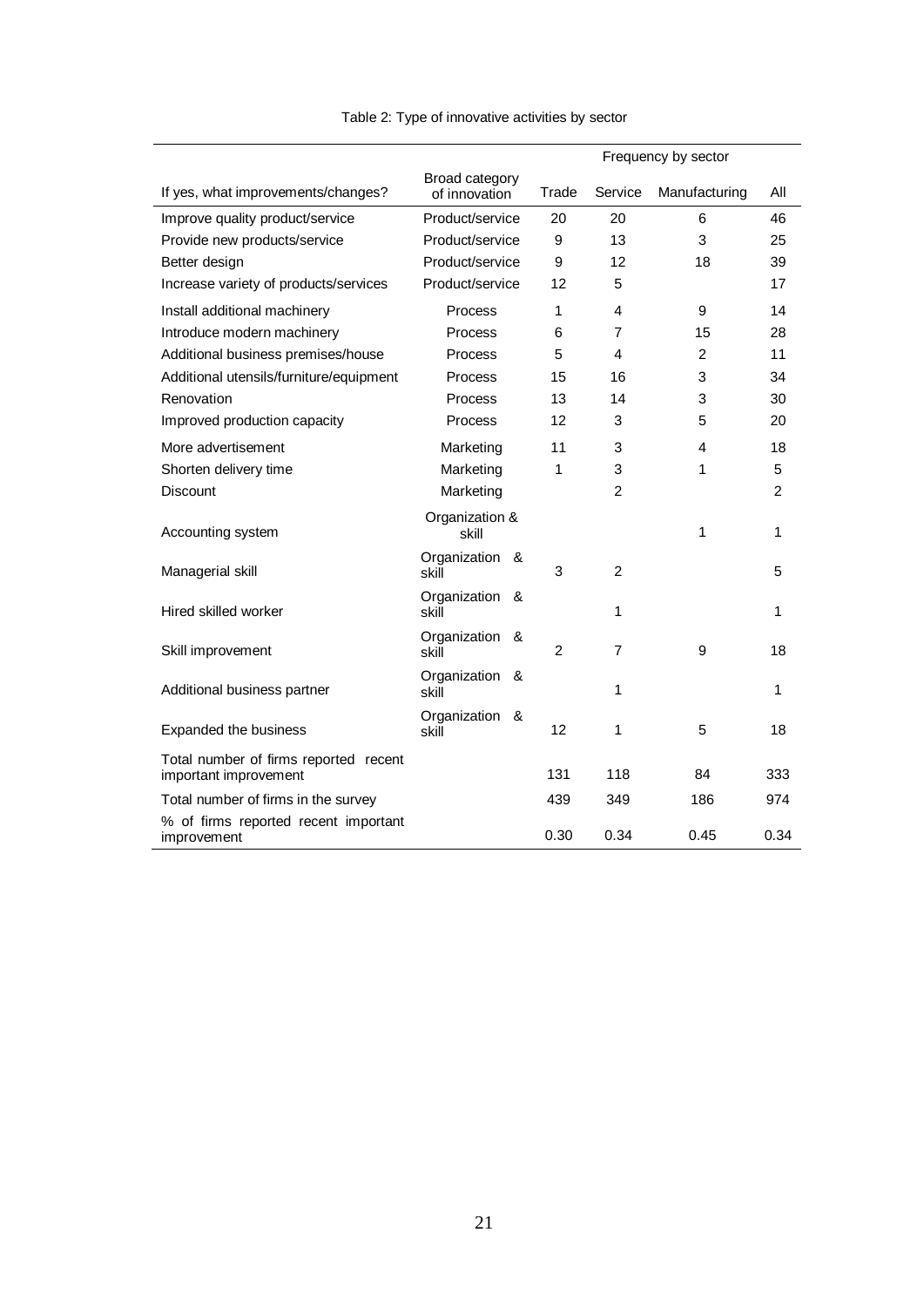|                                                                |                                 | Frequency by sector |                   |                |       |                |               |     |
|----------------------------------------------------------------|---------------------------------|---------------------|-------------------|----------------|-------|----------------|---------------|-----|
| If yes, what improvements/changes?                             | Broad category<br>of innovation |                     |                   |                | Trade | Service        | Manufacturing | All |
| Improve quality product/service                                | Product/service                 |                     | 20                | 20             | 6     | 46             |               |     |
| Provide new products/service                                   | Product/service                 |                     | 9                 | 13             | 3     | 25             |               |     |
| Better design                                                  | Product/service                 |                     | 9                 | 12             | 18    | 39             |               |     |
| Increase variety of products/services                          | Product/service                 |                     | 12                | 5              |       | 17             |               |     |
| Install additional machinery                                   | Process                         |                     | 1                 | 4              | 9     | 14             |               |     |
| Introduce modern machinery                                     | Process                         |                     | 6                 | $\overline{7}$ | 15    | 28             |               |     |
| Additional business premises/house                             | Process                         |                     | 5                 | 4              | 2     | 11             |               |     |
| Additional utensils/furniture/equipment                        | Process                         |                     | 15                | 16             | 3     | 34             |               |     |
| Renovation                                                     | Process                         |                     | 13                | 14             | 3     | 30             |               |     |
| Improved production capacity                                   | <b>Process</b>                  |                     | 12                | 3              | 5     | 20             |               |     |
| More advertisement                                             | Marketing                       |                     | 11                | 3              | 4     | 18             |               |     |
| Shorten delivery time                                          | Marketing                       |                     | 1                 | 3              | 1     | 5              |               |     |
| <b>Discount</b>                                                | Marketing                       |                     |                   | $\overline{2}$ |       | $\overline{2}$ |               |     |
| Accounting system                                              | Organization &<br>skill         |                     |                   |                | 1     | 1              |               |     |
| Managerial skill                                               | Organization &<br>skill         |                     | 3                 | $\overline{2}$ |       | 5              |               |     |
| Hired skilled worker                                           | Organization &<br>skill         |                     |                   | 1              |       | 1              |               |     |
| Skill improvement                                              | Organization &<br>skill         |                     | 2                 | $\overline{7}$ | 9     | 18             |               |     |
| Additional business partner                                    | Organization<br>skill           | &                   |                   | 1              |       | 1              |               |     |
| Expanded the business                                          | Organization &<br>skill         |                     | $12 \overline{ }$ | 1              | 5     | 18             |               |     |
| Total number of firms reported recent<br>important improvement |                                 |                     | 131               | 118            | 84    | 333            |               |     |
| Total number of firms in the survey                            |                                 |                     | 439               | 349            | 186   | 974            |               |     |
| % of firms reported recent important<br>improvement            |                                 |                     | 0.30              | 0.34           | 0.45  | 0.34           |               |     |

### Table 2: Type of innovative activities by sector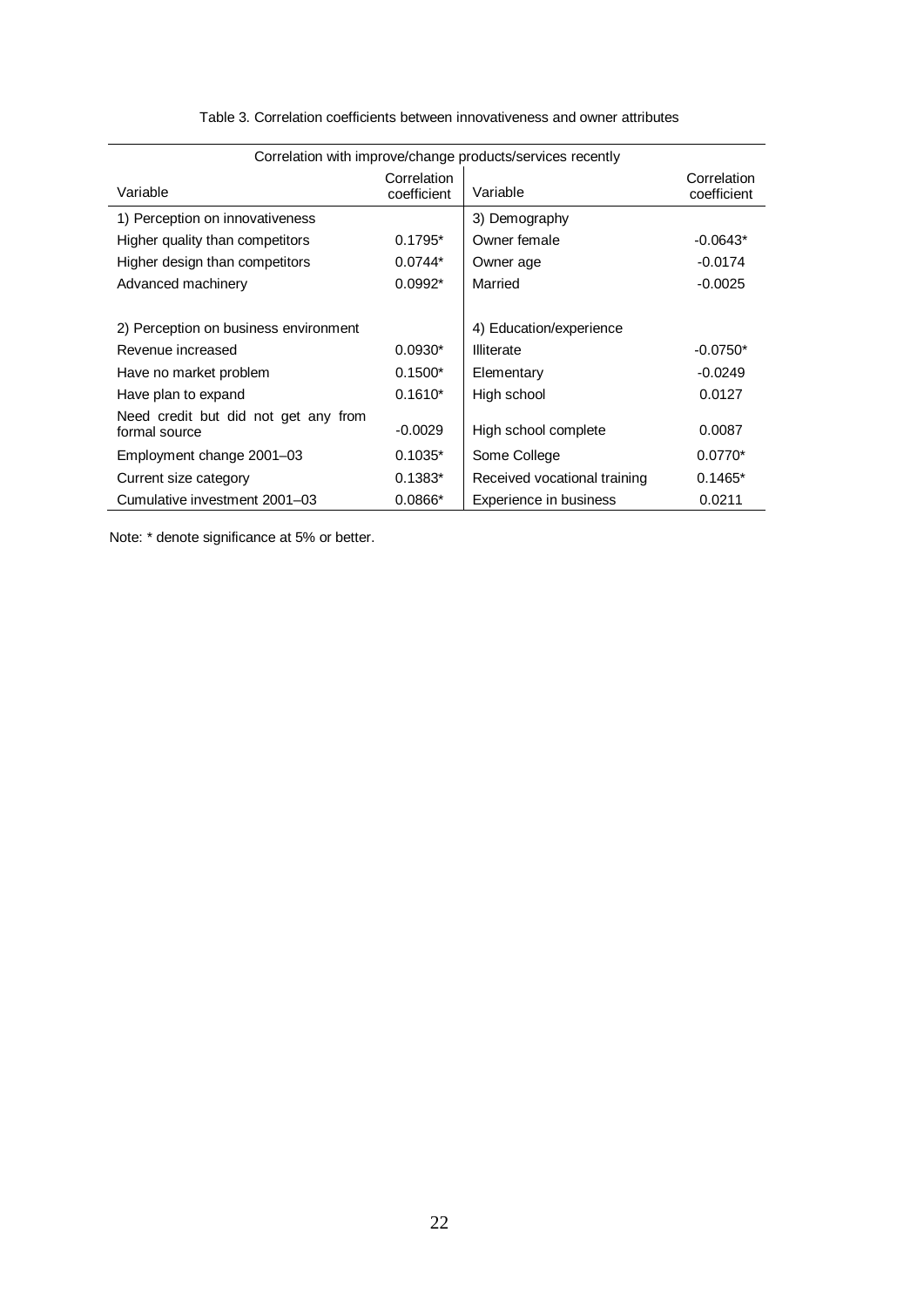| Correlation with improve/change products/services recently |                            |                              |                            |  |  |
|------------------------------------------------------------|----------------------------|------------------------------|----------------------------|--|--|
| Variable                                                   | Correlation<br>coefficient | Variable                     | Correlation<br>coefficient |  |  |
| 1) Perception on innovativeness                            |                            | 3) Demography                |                            |  |  |
| Higher quality than competitors                            | $0.1795*$                  | Owner female                 | $-0.0643*$                 |  |  |
| Higher design than competitors                             | $0.0744*$                  | Owner age                    | $-0.0174$                  |  |  |
| Advanced machinery                                         | $0.0992*$                  | Married                      | $-0.0025$                  |  |  |
|                                                            |                            |                              |                            |  |  |
| 2) Perception on business environment                      |                            | 4) Education/experience      |                            |  |  |
| Revenue increased                                          | $0.0930*$                  | Illiterate                   | $-0.0750*$                 |  |  |
| Have no market problem                                     | $0.1500*$                  | Elementary                   | $-0.0249$                  |  |  |
| Have plan to expand                                        | $0.1610*$                  | High school                  | 0.0127                     |  |  |
| Need credit but did not get any from<br>formal source      | $-0.0029$                  | High school complete         | 0.0087                     |  |  |
| Employment change 2001–03                                  | $0.1035*$                  | Some College                 | $0.0770*$                  |  |  |
| Current size category                                      | $0.1383*$                  | Received vocational training | $0.1465*$                  |  |  |
| Cumulative investment 2001-03                              | $0.0866*$                  | Experience in business       | 0.0211                     |  |  |

Table 3. Correlation coefficients between innovativeness and owner attributes

Note: \* denote significance at 5% or better.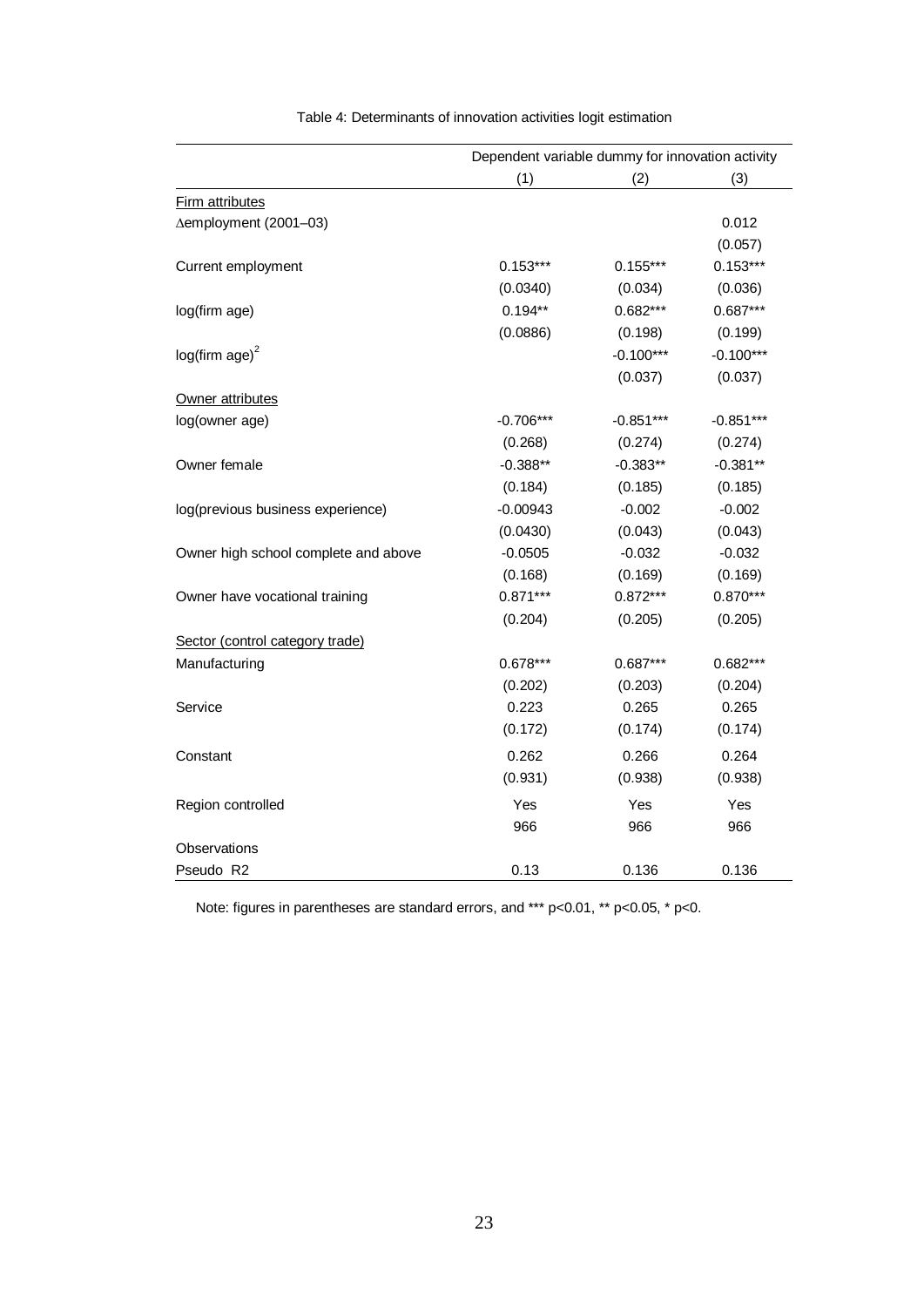|                                      | Dependent variable dummy for innovation activity |             |             |  |
|--------------------------------------|--------------------------------------------------|-------------|-------------|--|
|                                      | (1)                                              | (2)         | (3)         |  |
| Firm attributes                      |                                                  |             |             |  |
| ∆employment (2001-03)                |                                                  |             | 0.012       |  |
|                                      |                                                  |             | (0.057)     |  |
| Current employment                   | $0.153***$                                       | $0.155***$  | $0.153***$  |  |
|                                      | (0.0340)                                         | (0.034)     | (0.036)     |  |
| log(firm age)                        | $0.194**$                                        | $0.682***$  | $0.687***$  |  |
|                                      | (0.0886)                                         | (0.198)     | (0.199)     |  |
| $log(firm age)^2$                    |                                                  | $-0.100***$ | $-0.100***$ |  |
|                                      |                                                  | (0.037)     | (0.037)     |  |
| Owner attributes                     |                                                  |             |             |  |
| log(owner age)                       | $-0.706***$                                      | $-0.851***$ | $-0.851***$ |  |
|                                      | (0.268)                                          | (0.274)     | (0.274)     |  |
| Owner female                         | $-0.388**$                                       | $-0.383**$  | $-0.381**$  |  |
|                                      | (0.184)                                          | (0.185)     | (0.185)     |  |
| log(previous business experience)    | $-0.00943$                                       | $-0.002$    | $-0.002$    |  |
|                                      | (0.0430)                                         | (0.043)     | (0.043)     |  |
| Owner high school complete and above | $-0.0505$                                        | $-0.032$    | $-0.032$    |  |
|                                      | (0.168)                                          | (0.169)     | (0.169)     |  |
| Owner have vocational training       | $0.871***$                                       | $0.872***$  | $0.870***$  |  |
|                                      | (0.204)                                          | (0.205)     | (0.205)     |  |
| Sector (control category trade)      |                                                  |             |             |  |
| Manufacturing                        | $0.678***$                                       | $0.687***$  | $0.682***$  |  |
|                                      | (0.202)                                          | (0.203)     | (0.204)     |  |
| Service                              | 0.223                                            | 0.265       | 0.265       |  |
|                                      | (0.172)                                          | (0.174)     | (0.174)     |  |
| Constant                             | 0.262                                            | 0.266       | 0.264       |  |
|                                      | (0.931)                                          | (0.938)     | (0.938)     |  |
| Region controlled                    | Yes                                              | Yes         | Yes         |  |
|                                      | 966                                              | 966         | 966         |  |
| Observations                         |                                                  |             |             |  |
| Pseudo R2                            | 0.13                                             | 0.136       | 0.136       |  |

Table 4: Determinants of innovation activities logit estimation

Note: figures in parentheses are standard errors, and \*\*\* p<0.01, \*\* p<0.05, \* p<0.